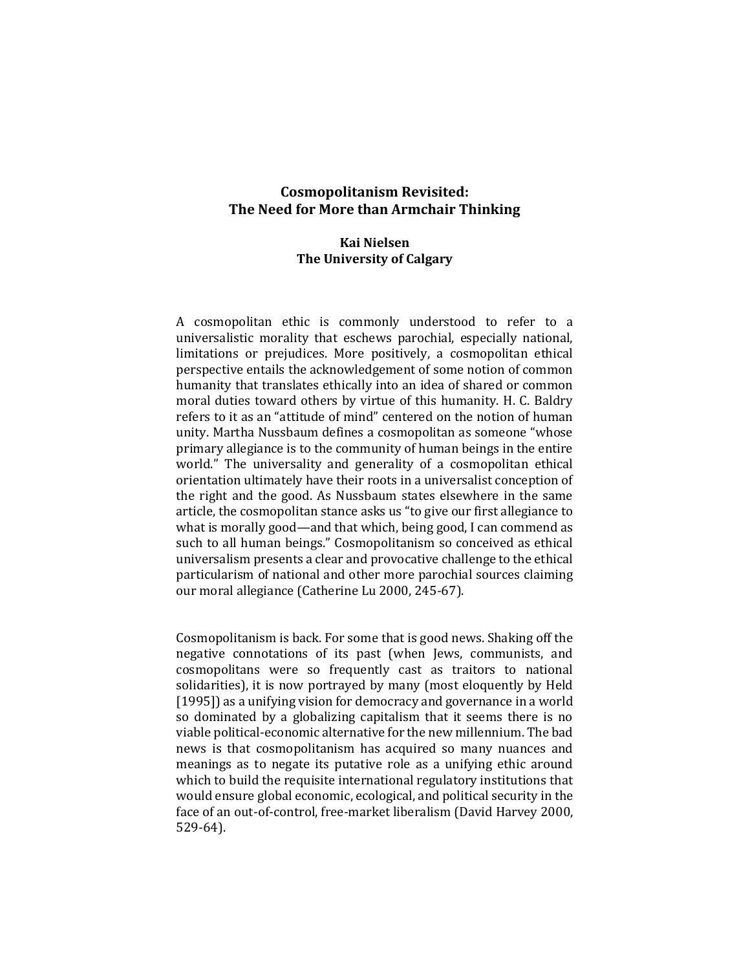# **Cosmopolitanism Revisited: The Need for More than Armchair Thinking**

# **Kai Nielsen The University of Calgary**

A cosmopolitan ethic is commonly understood to refer to a universalistic morality that eschews parochial, especially national, limitations or prejudices. More positively, a cosmopolitan ethical perspective entails the acknowledgement of some notion of common humanity that translates ethically into an idea of shared or common moral duties toward others by virtue of this humanity. H. C. Baldry refers to it as an "attitude of mind" centered on the notion of human unity. Martha Nussbaum defines a cosmopolitan as someone "whose primary allegiance is to the community of human beings in the entire world." The universality and generality of a cosmopolitan ethical orientation ultimately have their roots in a universalist conception of the right and the good. As Nussbaum states elsewhere in the same article, the cosmopolitan stance asks us "to give our first allegiance to what is morally good—and that which, being good, I can commend as such to all human beings." Cosmopolitanism so conceived as ethical universalism presents a clear and provocative challenge to the ethical particularism of national and other more parochial sources claiming our moral allegiance (Catherine Lu 2000, 245-67).

Cosmopolitanism is back. For some that is good news. Shaking off the negative connotations of its past (when Jews, communists, and cosmopolitans were so frequently cast as traitors to national solidarities), it is now portrayed by many (most eloquently by Held [1995]) as a unifying vision for democracy and governance in a world so dominated by a globalizing capitalism that it seems there is no viable political-economic alternative for the new millennium. The bad news is that cosmopolitanism has acquired so many nuances and meanings as to negate its putative role as a unifying ethic around which to build the requisite international regulatory institutions that would ensure global economic, ecological, and political security in the face of an out-of-control, free-market liberalism (David Harvey 2000, 529-64).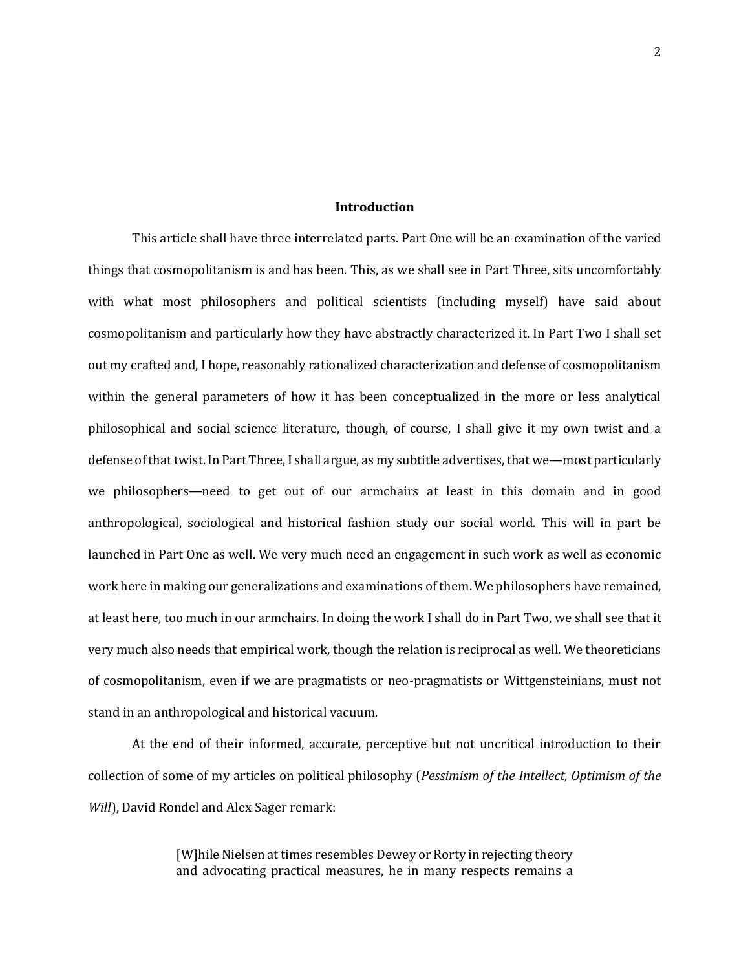# **Introduction**

This article shall have three interrelated parts. Part One will be an examination of the varied things that cosmopolitanism is and has been. This, as we shall see in Part Three, sits uncomfortably with what most philosophers and political scientists (including myself) have said about cosmopolitanism and particularly how they have abstractly characterized it. In Part Two I shall set out my crafted and, I hope, reasonably rationalized characterization and defense of cosmopolitanism within the general parameters of how it has been conceptualized in the more or less analytical philosophical and social science literature, though, of course, I shall give it my own twist and a defense of that twist. In Part Three, I shall argue, as my subtitle advertises, that we—most particularly we philosophers—need to get out of our armchairs at least in this domain and in good anthropological, sociological and historical fashion study our social world. This will in part be launched in Part One as well. We very much need an engagement in such work as well as economic work here in making our generalizations and examinations of them. We philosophers have remained, at least here, too much in our armchairs. In doing the work I shall do in Part Two, we shall see that it very much also needs that empirical work, though the relation is reciprocal as well. We theoreticians of cosmopolitanism, even if we are pragmatists or neo-pragmatists or Wittgensteinians, must not stand in an anthropological and historical vacuum.

At the end of their informed, accurate, perceptive but not uncritical introduction to their collection of some of my articles on political philosophy (*Pessimism of the Intellect, Optimism of the Will*), David Rondel and Alex Sager remark:

> [W]hile Nielsen at times resembles Dewey or Rorty in rejecting theory and advocating practical measures, he in many respects remains a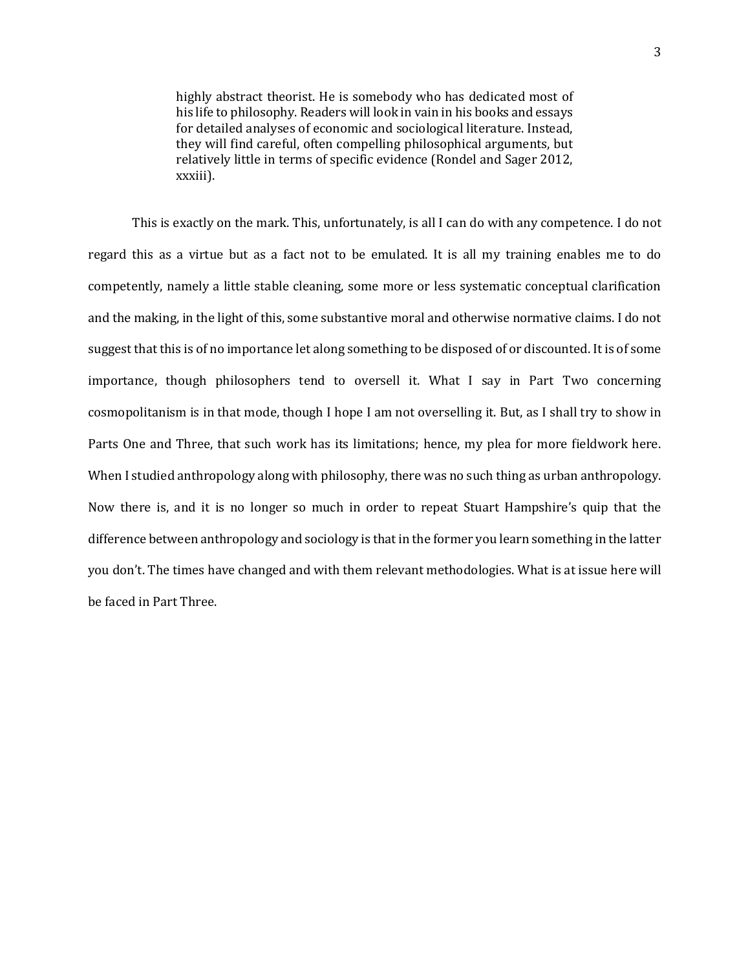highly abstract theorist. He is somebody who has dedicated most of his life to philosophy. Readers will look in vain in his books and essays for detailed analyses of economic and sociological literature. Instead, they will find careful, often compelling philosophical arguments, but relatively little in terms of specific evidence (Rondel and Sager 2012, xxxiii).

This is exactly on the mark. This, unfortunately, is all I can do with any competence. I do not regard this as a virtue but as a fact not to be emulated. It is all my training enables me to do competently, namely a little stable cleaning, some more or less systematic conceptual clarification and the making, in the light of this, some substantive moral and otherwise normative claims. I do not suggest that this is of no importance let along something to be disposed of or discounted. It is of some importance, though philosophers tend to oversell it. What I say in Part Two concerning cosmopolitanism is in that mode, though I hope I am not overselling it. But, as I shall try to show in Parts One and Three, that such work has its limitations; hence, my plea for more fieldwork here. When I studied anthropology along with philosophy, there was no such thing as urban anthropology. Now there is, and it is no longer so much in order to repeat Stuart Hampshire's quip that the difference between anthropology and sociology is that in the former you learn something in the latter you don't. The times have changed and with them relevant methodologies. What is at issue here will be faced in Part Three.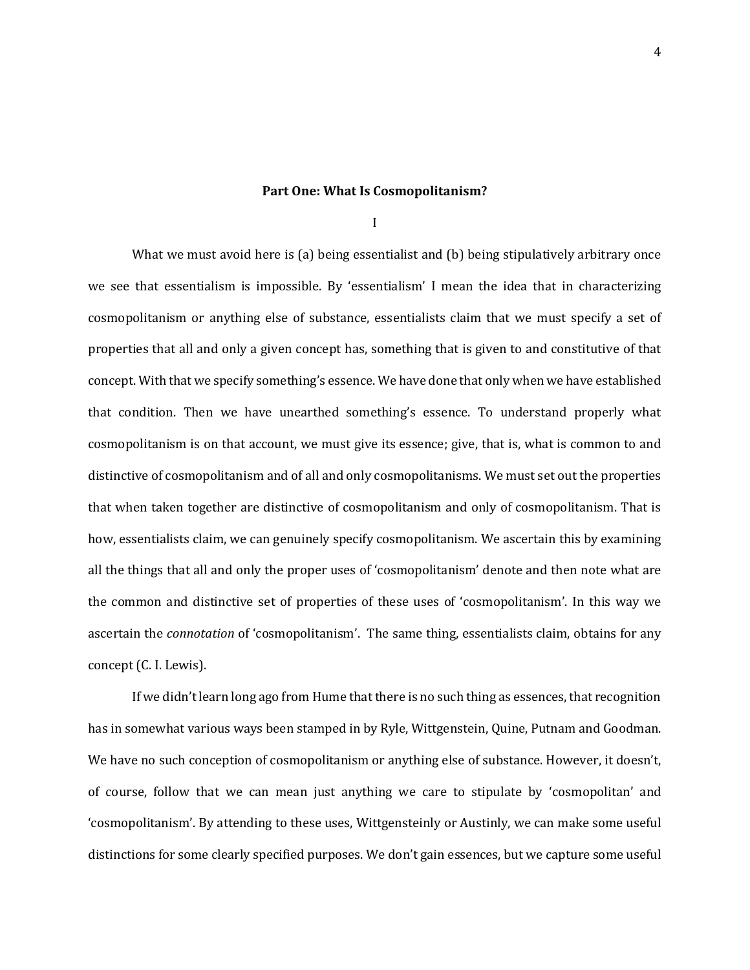## **Part One: What Is Cosmopolitanism?**

I

What we must avoid here is (a) being essentialist and (b) being stipulatively arbitrary once we see that essentialism is impossible. By 'essentialism' I mean the idea that in characterizing cosmopolitanism or anything else of substance, essentialists claim that we must specify a set of properties that all and only a given concept has, something that is given to and constitutive of that concept. With that we specify something's essence. We have done that only when we have established that condition. Then we have unearthed something's essence. To understand properly what cosmopolitanism is on that account, we must give its essence; give, that is, what is common to and distinctive of cosmopolitanism and of all and only cosmopolitanisms. We must set out the properties that when taken together are distinctive of cosmopolitanism and only of cosmopolitanism. That is how, essentialists claim, we can genuinely specify cosmopolitanism. We ascertain this by examining all the things that all and only the proper uses of 'cosmopolitanism' denote and then note what are the common and distinctive set of properties of these uses of 'cosmopolitanism'. In this way we ascertain the *connotation* of 'cosmopolitanism'. The same thing, essentialists claim, obtains for any concept (C. I. Lewis).

If we didn't learn long ago from Hume that there is no such thing as essences, that recognition has in somewhat various ways been stamped in by Ryle, Wittgenstein, Quine, Putnam and Goodman. We have no such conception of cosmopolitanism or anything else of substance. However, it doesn't, of course, follow that we can mean just anything we care to stipulate by 'cosmopolitan' and 'cosmopolitanism'. By attending to these uses, Wittgensteinly or Austinly, we can make some useful distinctions for some clearly specified purposes. We don't gain essences, but we capture some useful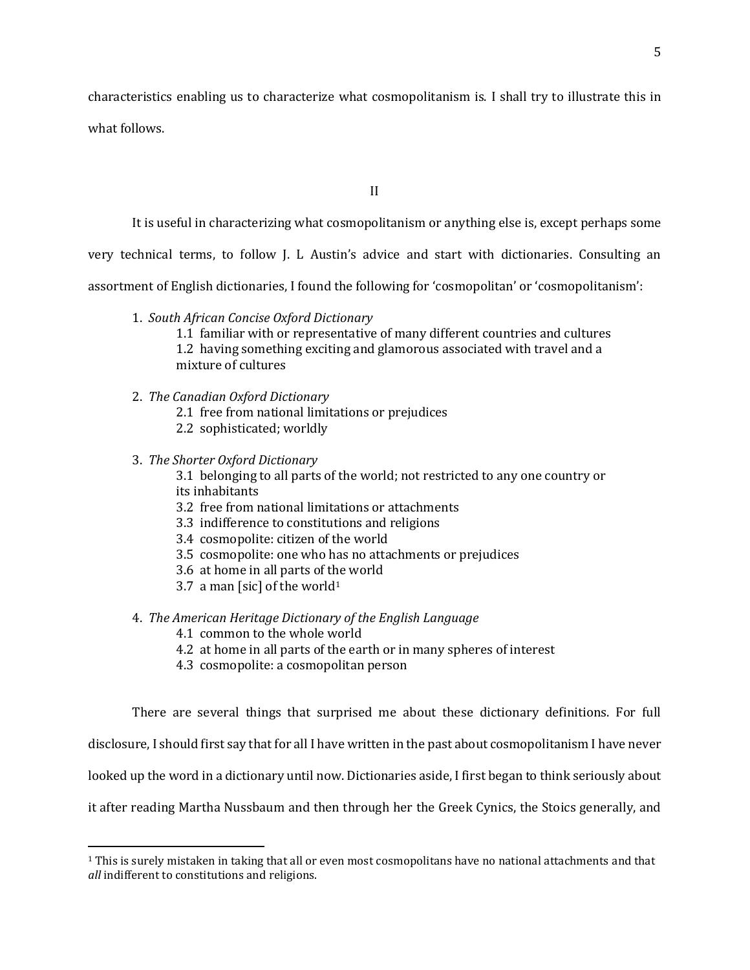characteristics enabling us to characterize what cosmopolitanism is. I shall try to illustrate this in what follows.

II

It is useful in characterizing what cosmopolitanism or anything else is, except perhaps some

very technical terms, to follow J. L Austin's advice and start with dictionaries. Consulting an

assortment of English dictionaries, I found the following for 'cosmopolitan' or 'cosmopolitanism':

1. *South African Concise Oxford Dictionary*

1.1 familiar with or representative of many different countries and cultures 1.2 having something exciting and glamorous associated with travel and a mixture of cultures

- 2. *The Canadian Oxford Dictionary*
	- 2.1 free from national limitations or prejudices
	- 2.2 sophisticated; worldly

# 3. *The Shorter Oxford Dictionary*

 $\overline{\phantom{a}}$ 

3.1 belonging to all parts of the world; not restricted to any one country or its inhabitants

- 3.2 free from national limitations or attachments
- 3.3 indifference to constitutions and religions
- 3.4 cosmopolite: citizen of the world
- 3.5 cosmopolite: one who has no attachments or prejudices
- 3.6 at home in all parts of the world
- 3.7 a man [sic] of the world<sup>1</sup>

# 4. *The American Heritage Dictionary of the English Language*

- 4.1 common to the whole world
- 4.2 at home in all parts of the earth or in many spheres of interest
- 4.3 cosmopolite: a cosmopolitan person

There are several things that surprised me about these dictionary definitions. For full disclosure, I should first say that for all I have written in the past about cosmopolitanism I have never looked up the word in a dictionary until now. Dictionaries aside, I first began to think seriously about it after reading Martha Nussbaum and then through her the Greek Cynics, the Stoics generally, and

<sup>1</sup> This is surely mistaken in taking that all or even most cosmopolitans have no national attachments and that *all* indifferent to constitutions and religions.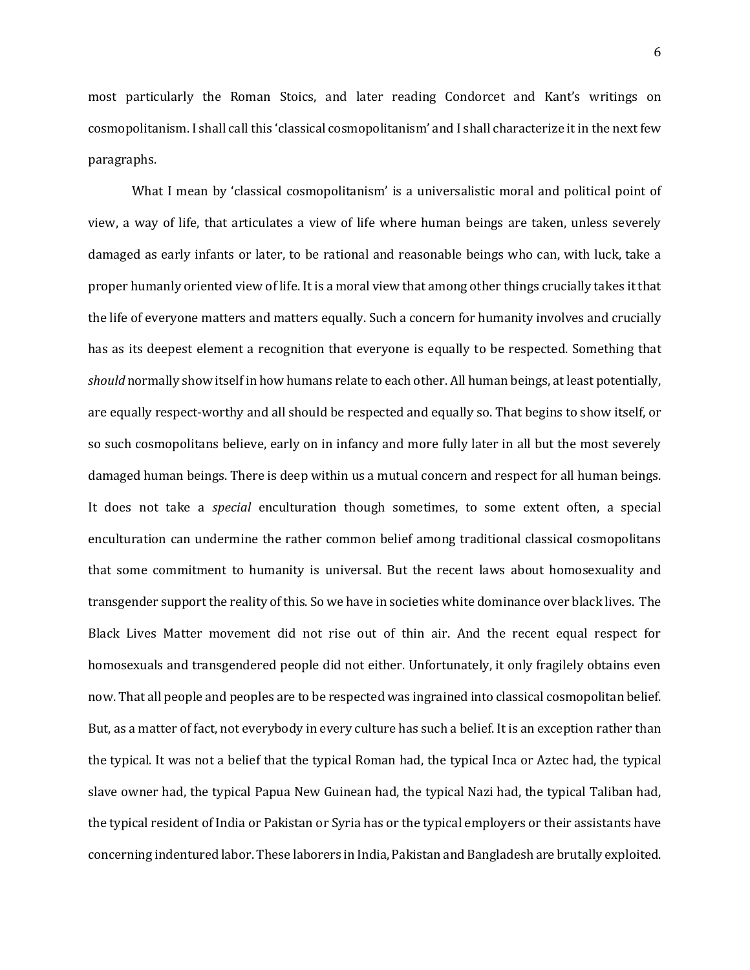most particularly the Roman Stoics, and later reading Condorcet and Kant's writings on cosmopolitanism. I shall call this 'classical cosmopolitanism' and I shall characterize it in the next few paragraphs.

What I mean by 'classical cosmopolitanism' is a universalistic moral and political point of view, a way of life, that articulates a view of life where human beings are taken, unless severely damaged as early infants or later, to be rational and reasonable beings who can, with luck, take a proper humanly oriented view of life. It is a moral view that among other things crucially takes it that the life of everyone matters and matters equally. Such a concern for humanity involves and crucially has as its deepest element a recognition that everyone is equally to be respected. Something that *should* normally show itself in how humans relate to each other. All human beings, at least potentially, are equally respect-worthy and all should be respected and equally so. That begins to show itself, or so such cosmopolitans believe, early on in infancy and more fully later in all but the most severely damaged human beings. There is deep within us a mutual concern and respect for all human beings. It does not take a *special* enculturation though sometimes, to some extent often, a special enculturation can undermine the rather common belief among traditional classical cosmopolitans that some commitment to humanity is universal. But the recent laws about homosexuality and transgender support the reality of this. So we have in societies white dominance over black lives. The Black Lives Matter movement did not rise out of thin air. And the recent equal respect for homosexuals and transgendered people did not either. Unfortunately, it only fragilely obtains even now. That all people and peoples are to be respected was ingrained into classical cosmopolitan belief. But, as a matter of fact, not everybody in every culture has such a belief. It is an exception rather than the typical. It was not a belief that the typical Roman had, the typical Inca or Aztec had, the typical slave owner had, the typical Papua New Guinean had, the typical Nazi had, the typical Taliban had, the typical resident of India or Pakistan or Syria has or the typical employers or their assistants have concerning indentured labor. These laborers in India, Pakistan and Bangladesh are brutally exploited.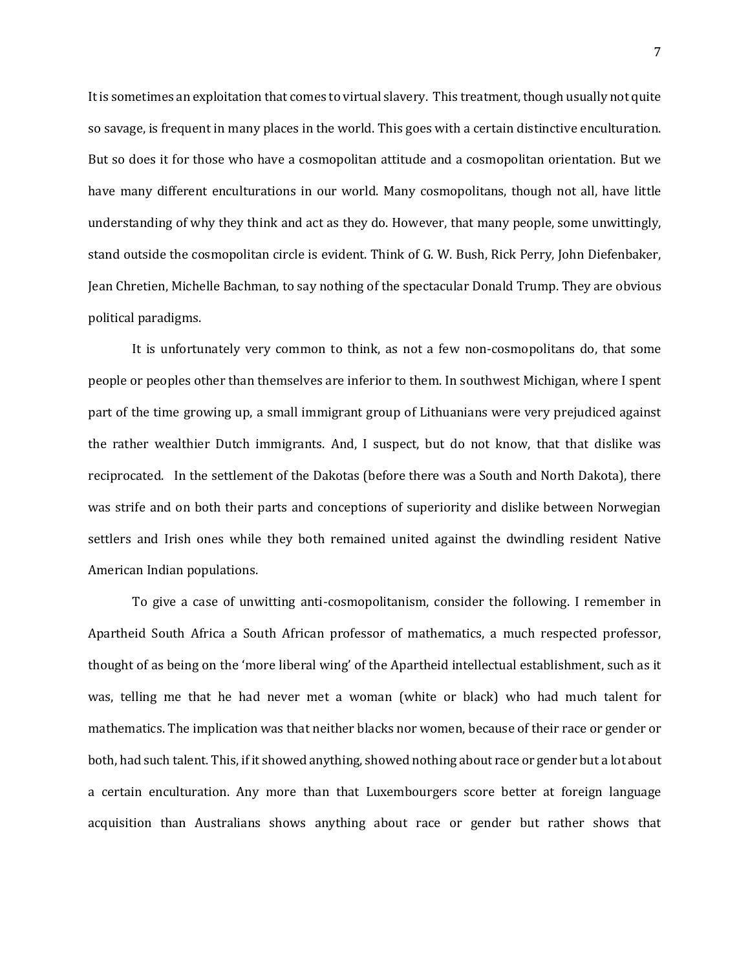It is sometimes an exploitation that comes to virtual slavery. This treatment, though usually not quite so savage, is frequent in many places in the world. This goes with a certain distinctive enculturation. But so does it for those who have a cosmopolitan attitude and a cosmopolitan orientation. But we have many different enculturations in our world. Many cosmopolitans, though not all, have little understanding of why they think and act as they do. However, that many people, some unwittingly, stand outside the cosmopolitan circle is evident. Think of G. W. Bush, Rick Perry, John Diefenbaker, Jean Chretien, Michelle Bachman, to say nothing of the spectacular Donald Trump. They are obvious political paradigms.

It is unfortunately very common to think, as not a few non-cosmopolitans do, that some people or peoples other than themselves are inferior to them. In southwest Michigan, where I spent part of the time growing up, a small immigrant group of Lithuanians were very prejudiced against the rather wealthier Dutch immigrants. And, I suspect, but do not know, that that dislike was reciprocated. In the settlement of the Dakotas (before there was a South and North Dakota), there was strife and on both their parts and conceptions of superiority and dislike between Norwegian settlers and Irish ones while they both remained united against the dwindling resident Native American Indian populations.

To give a case of unwitting anti-cosmopolitanism, consider the following. I remember in Apartheid South Africa a South African professor of mathematics, a much respected professor, thought of as being on the 'more liberal wing' of the Apartheid intellectual establishment, such as it was, telling me that he had never met a woman (white or black) who had much talent for mathematics. The implication was that neither blacks nor women, because of their race or gender or both, had such talent. This, if it showed anything, showed nothing about race or gender but a lot about a certain enculturation. Any more than that Luxembourgers score better at foreign language acquisition than Australians shows anything about race or gender but rather shows that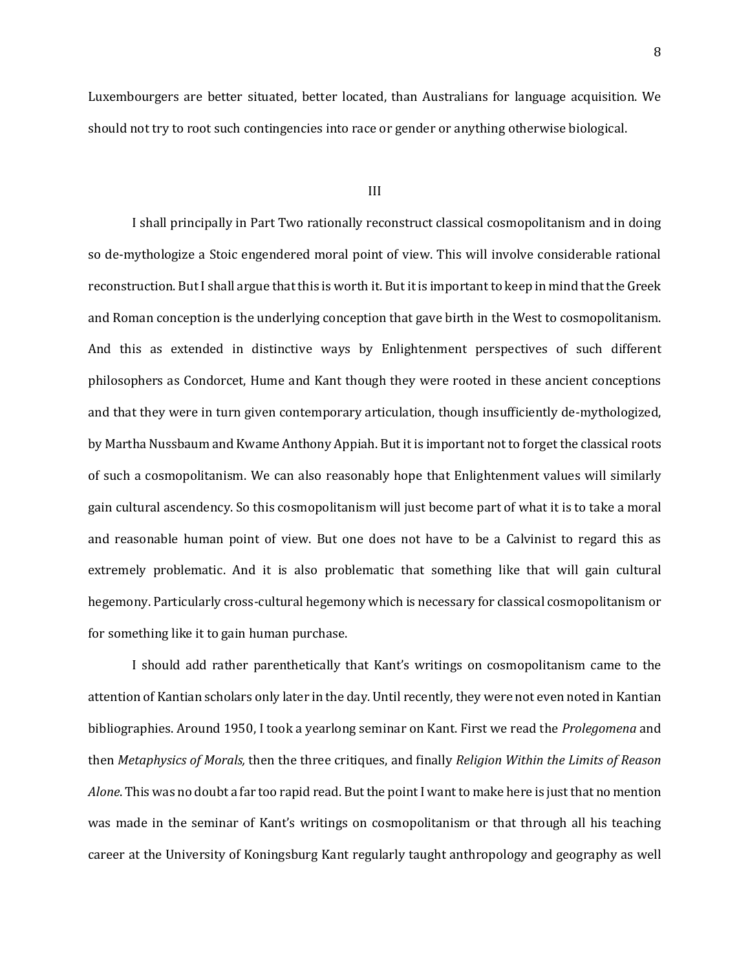Luxembourgers are better situated, better located, than Australians for language acquisition. We should not try to root such contingencies into race or gender or anything otherwise biological.

### III

I shall principally in Part Two rationally reconstruct classical cosmopolitanism and in doing so de-mythologize a Stoic engendered moral point of view. This will involve considerable rational reconstruction. But I shall argue that this is worth it. But it is important to keep in mind that the Greek and Roman conception is the underlying conception that gave birth in the West to cosmopolitanism. And this as extended in distinctive ways by Enlightenment perspectives of such different philosophers as Condorcet, Hume and Kant though they were rooted in these ancient conceptions and that they were in turn given contemporary articulation, though insufficiently de-mythologized, by Martha Nussbaum and Kwame Anthony Appiah. But it is important not to forget the classical roots of such a cosmopolitanism. We can also reasonably hope that Enlightenment values will similarly gain cultural ascendency. So this cosmopolitanism will just become part of what it is to take a moral and reasonable human point of view. But one does not have to be a Calvinist to regard this as extremely problematic. And it is also problematic that something like that will gain cultural hegemony. Particularly cross-cultural hegemony which is necessary for classical cosmopolitanism or for something like it to gain human purchase.

I should add rather parenthetically that Kant's writings on cosmopolitanism came to the attention of Kantian scholars only later in the day. Until recently, they were not even noted in Kantian bibliographies. Around 1950, I took a yearlong seminar on Kant. First we read the *Prolegomena* and then *Metaphysics of Morals,* then the three critiques, and finally *Religion Within the Limits of Reason Alone*. This was no doubt a far too rapid read. But the point I want to make here is just that no mention was made in the seminar of Kant's writings on cosmopolitanism or that through all his teaching career at the University of Koningsburg Kant regularly taught anthropology and geography as well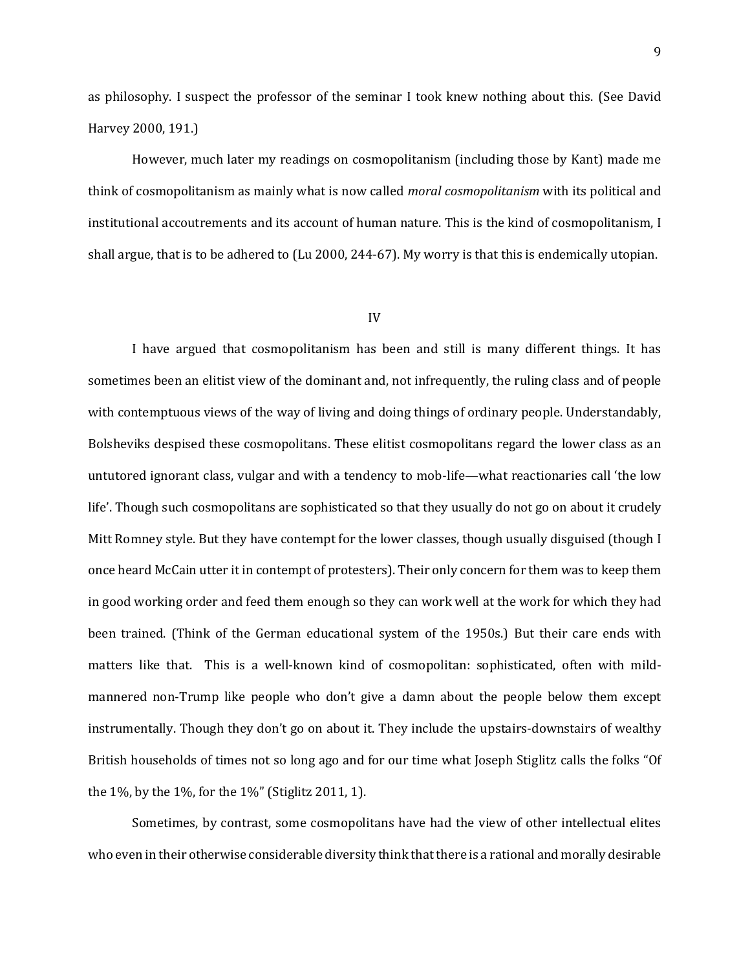as philosophy. I suspect the professor of the seminar I took knew nothing about this. (See David Harvey 2000, 191.)

However, much later my readings on cosmopolitanism (including those by Kant) made me think of cosmopolitanism as mainly what is now called *moral cosmopolitanism* with its political and institutional accoutrements and its account of human nature. This is the kind of cosmopolitanism, I shall argue, that is to be adhered to (Lu 2000, 244-67). My worry is that this is endemically utopian.

## IV

I have argued that cosmopolitanism has been and still is many different things. It has sometimes been an elitist view of the dominant and, not infrequently, the ruling class and of people with contemptuous views of the way of living and doing things of ordinary people. Understandably, Bolsheviks despised these cosmopolitans. These elitist cosmopolitans regard the lower class as an untutored ignorant class, vulgar and with a tendency to mob-life—what reactionaries call 'the low life'. Though such cosmopolitans are sophisticated so that they usually do not go on about it crudely Mitt Romney style. But they have contempt for the lower classes, though usually disguised (though I once heard McCain utter it in contempt of protesters). Their only concern for them was to keep them in good working order and feed them enough so they can work well at the work for which they had been trained. (Think of the German educational system of the 1950s.) But their care ends with matters like that. This is a well-known kind of cosmopolitan: sophisticated, often with mildmannered non-Trump like people who don't give a damn about the people below them except instrumentally. Though they don't go on about it. They include the upstairs-downstairs of wealthy British households of times not so long ago and for our time what Joseph Stiglitz calls the folks "Of the 1%, by the 1%, for the 1%" (Stiglitz 2011, 1).

Sometimes, by contrast, some cosmopolitans have had the view of other intellectual elites who even in their otherwise considerable diversity think that there is a rational and morally desirable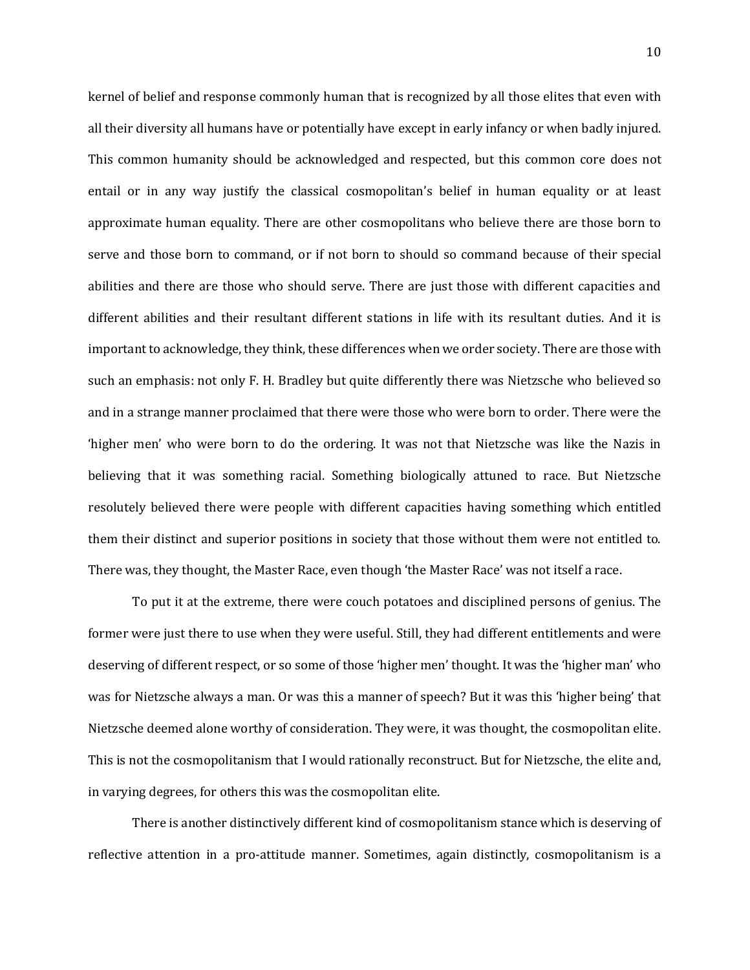kernel of belief and response commonly human that is recognized by all those elites that even with all their diversity all humans have or potentially have except in early infancy or when badly injured. This common humanity should be acknowledged and respected, but this common core does not entail or in any way justify the classical cosmopolitan's belief in human equality or at least approximate human equality. There are other cosmopolitans who believe there are those born to serve and those born to command, or if not born to should so command because of their special abilities and there are those who should serve. There are just those with different capacities and different abilities and their resultant different stations in life with its resultant duties. And it is important to acknowledge, they think, these differences when we order society. There are those with such an emphasis: not only F. H. Bradley but quite differently there was Nietzsche who believed so and in a strange manner proclaimed that there were those who were born to order. There were the 'higher men' who were born to do the ordering. It was not that Nietzsche was like the Nazis in believing that it was something racial. Something biologically attuned to race. But Nietzsche resolutely believed there were people with different capacities having something which entitled them their distinct and superior positions in society that those without them were not entitled to. There was, they thought, the Master Race, even though 'the Master Race' was not itself a race.

To put it at the extreme, there were couch potatoes and disciplined persons of genius. The former were just there to use when they were useful. Still, they had different entitlements and were deserving of different respect, or so some of those 'higher men' thought. It was the 'higher man' who was for Nietzsche always a man. Or was this a manner of speech? But it was this 'higher being' that Nietzsche deemed alone worthy of consideration. They were, it was thought, the cosmopolitan elite. This is not the cosmopolitanism that I would rationally reconstruct. But for Nietzsche, the elite and, in varying degrees, for others this was the cosmopolitan elite.

There is another distinctively different kind of cosmopolitanism stance which is deserving of reflective attention in a pro-attitude manner. Sometimes, again distinctly, cosmopolitanism is a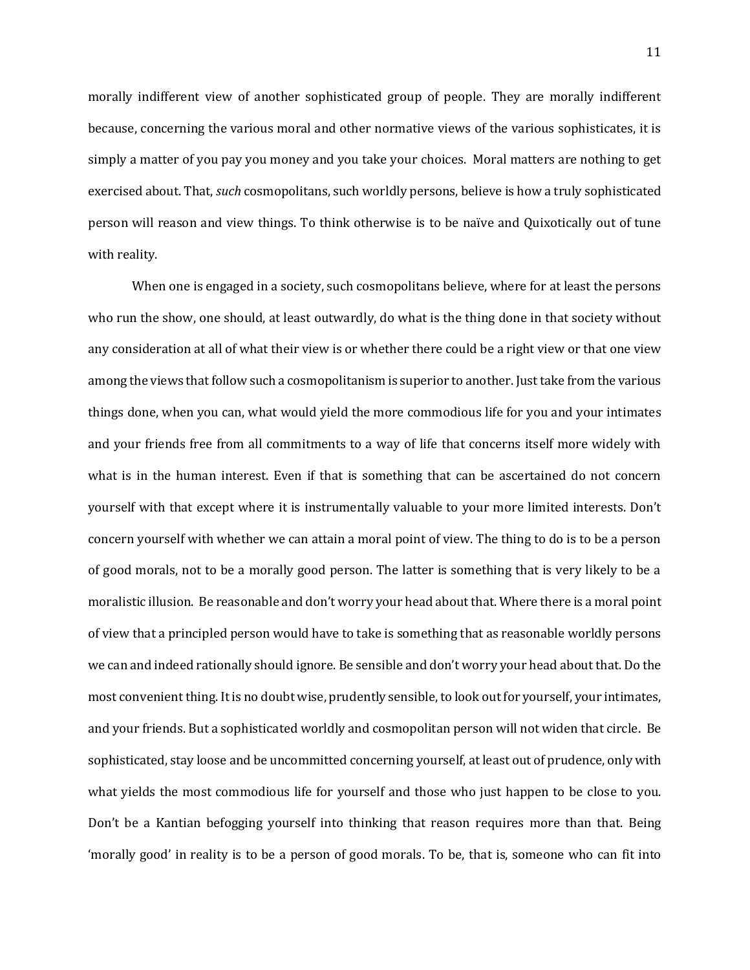morally indifferent view of another sophisticated group of people. They are morally indifferent because, concerning the various moral and other normative views of the various sophisticates, it is simply a matter of you pay you money and you take your choices. Moral matters are nothing to get exercised about. That, *such* cosmopolitans, such worldly persons, believe is how a truly sophisticated person will reason and view things. To think otherwise is to be naïve and Quixotically out of tune with reality.

When one is engaged in a society, such cosmopolitans believe, where for at least the persons who run the show, one should, at least outwardly, do what is the thing done in that society without any consideration at all of what their view is or whether there could be a right view or that one view among the views that follow such a cosmopolitanism is superior to another. Just take from the various things done, when you can, what would yield the more commodious life for you and your intimates and your friends free from all commitments to a way of life that concerns itself more widely with what is in the human interest. Even if that is something that can be ascertained do not concern yourself with that except where it is instrumentally valuable to your more limited interests. Don't concern yourself with whether we can attain a moral point of view. The thing to do is to be a person of good morals, not to be a morally good person. The latter is something that is very likely to be a moralistic illusion. Be reasonable and don't worry your head about that. Where there is a moral point of view that a principled person would have to take is something that as reasonable worldly persons we can and indeed rationally should ignore. Be sensible and don't worry your head about that. Do the most convenient thing. It is no doubt wise, prudently sensible, to look out for yourself, your intimates, and your friends. But a sophisticated worldly and cosmopolitan person will not widen that circle. Be sophisticated, stay loose and be uncommitted concerning yourself, at least out of prudence, only with what yields the most commodious life for yourself and those who just happen to be close to you. Don't be a Kantian befogging yourself into thinking that reason requires more than that. Being 'morally good' in reality is to be a person of good morals. To be, that is, someone who can fit into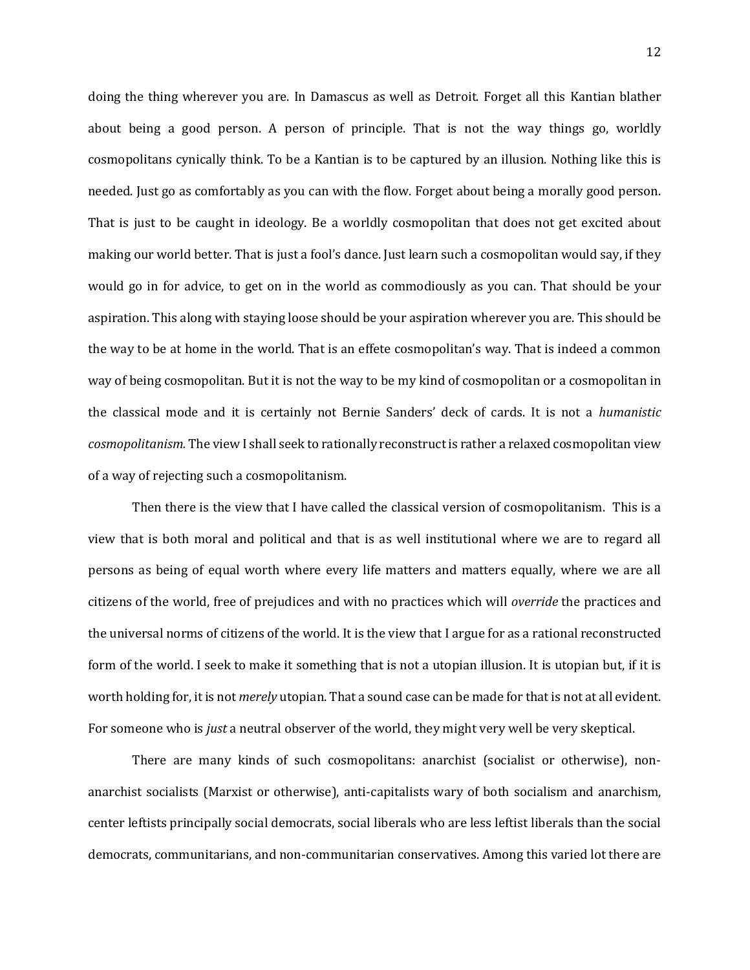doing the thing wherever you are. In Damascus as well as Detroit. Forget all this Kantian blather about being a good person. A person of principle. That is not the way things go, worldly cosmopolitans cynically think. To be a Kantian is to be captured by an illusion. Nothing like this is needed. Just go as comfortably as you can with the flow. Forget about being a morally good person. That is just to be caught in ideology. Be a worldly cosmopolitan that does not get excited about making our world better. That is just a fool's dance. Just learn such a cosmopolitan would say, if they would go in for advice, to get on in the world as commodiously as you can. That should be your aspiration. This along with staying loose should be your aspiration wherever you are. This should be the way to be at home in the world. That is an effete cosmopolitan's way. That is indeed a common way of being cosmopolitan. But it is not the way to be my kind of cosmopolitan or a cosmopolitan in the classical mode and it is certainly not Bernie Sanders' deck of cards. It is not a *humanistic cosmopolitanism.* The view I shall seek to rationally reconstruct is rather a relaxed cosmopolitan view of a way of rejecting such a cosmopolitanism.

Then there is the view that I have called the classical version of cosmopolitanism. This is a view that is both moral and political and that is as well institutional where we are to regard all persons as being of equal worth where every life matters and matters equally, where we are all citizens of the world, free of prejudices and with no practices which will *override* the practices and the universal norms of citizens of the world. It is the view that I argue for as a rational reconstructed form of the world. I seek to make it something that is not a utopian illusion. It is utopian but, if it is worth holding for, it is not *merely* utopian. That a sound case can be made for that is not at all evident. For someone who is *just* a neutral observer of the world, they might very well be very skeptical.

There are many kinds of such cosmopolitans: anarchist (socialist or otherwise), nonanarchist socialists (Marxist or otherwise), anti-capitalists wary of both socialism and anarchism, center leftists principally social democrats, social liberals who are less leftist liberals than the social democrats, communitarians, and non-communitarian conservatives. Among this varied lot there are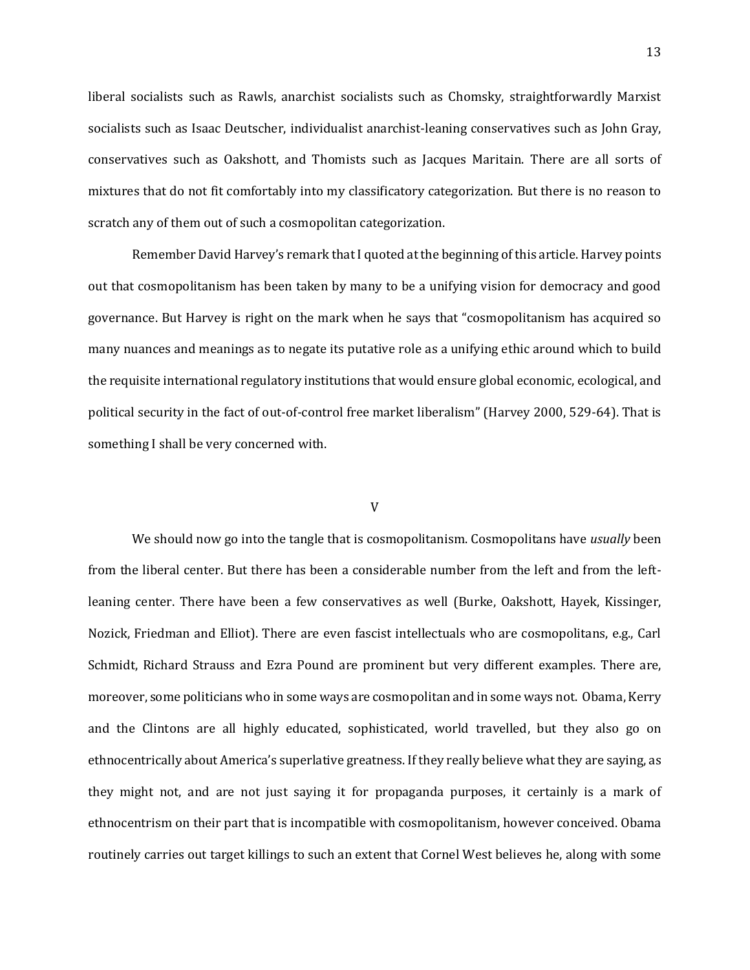liberal socialists such as Rawls, anarchist socialists such as Chomsky, straightforwardly Marxist socialists such as Isaac Deutscher, individualist anarchist-leaning conservatives such as John Gray, conservatives such as Oakshott, and Thomists such as Jacques Maritain. There are all sorts of mixtures that do not fit comfortably into my classificatory categorization. But there is no reason to scratch any of them out of such a cosmopolitan categorization.

Remember David Harvey's remark that I quoted at the beginning of this article. Harvey points out that cosmopolitanism has been taken by many to be a unifying vision for democracy and good governance. But Harvey is right on the mark when he says that "cosmopolitanism has acquired so many nuances and meanings as to negate its putative role as a unifying ethic around which to build the requisite international regulatory institutions that would ensure global economic, ecological, and political security in the fact of out-of-control free market liberalism" (Harvey 2000, 529-64). That is something I shall be very concerned with.

## V

We should now go into the tangle that is cosmopolitanism. Cosmopolitans have *usually* been from the liberal center. But there has been a considerable number from the left and from the leftleaning center. There have been a few conservatives as well (Burke, Oakshott, Hayek, Kissinger, Nozick, Friedman and Elliot). There are even fascist intellectuals who are cosmopolitans, e.g., Carl Schmidt, Richard Strauss and Ezra Pound are prominent but very different examples. There are, moreover, some politicians who in some ways are cosmopolitan and in some ways not. Obama, Kerry and the Clintons are all highly educated, sophisticated, world travelled, but they also go on ethnocentrically about America's superlative greatness. If they really believe what they are saying, as they might not, and are not just saying it for propaganda purposes, it certainly is a mark of ethnocentrism on their part that is incompatible with cosmopolitanism, however conceived. Obama routinely carries out target killings to such an extent that Cornel West believes he, along with some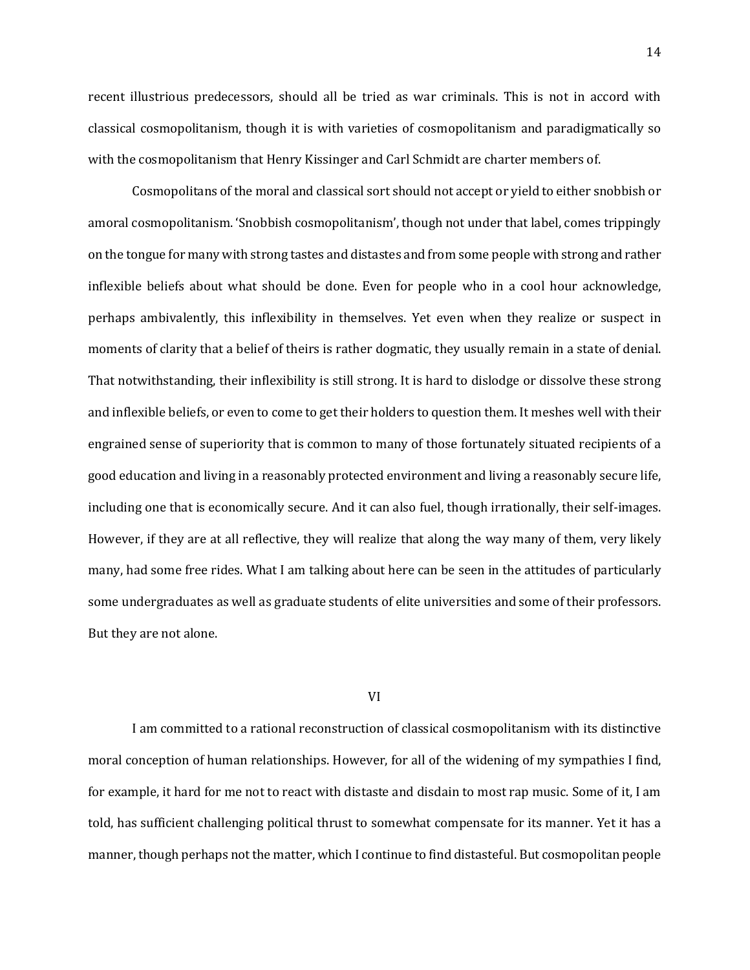recent illustrious predecessors, should all be tried as war criminals. This is not in accord with classical cosmopolitanism, though it is with varieties of cosmopolitanism and paradigmatically so with the cosmopolitanism that Henry Kissinger and Carl Schmidt are charter members of.

Cosmopolitans of the moral and classical sort should not accept or yield to either snobbish or amoral cosmopolitanism. 'Snobbish cosmopolitanism', though not under that label, comes trippingly on the tongue for many with strong tastes and distastes and from some people with strong and rather inflexible beliefs about what should be done. Even for people who in a cool hour acknowledge, perhaps ambivalently, this inflexibility in themselves. Yet even when they realize or suspect in moments of clarity that a belief of theirs is rather dogmatic, they usually remain in a state of denial. That notwithstanding, their inflexibility is still strong. It is hard to dislodge or dissolve these strong and inflexible beliefs, or even to come to get their holders to question them. It meshes well with their engrained sense of superiority that is common to many of those fortunately situated recipients of a good education and living in a reasonably protected environment and living a reasonably secure life, including one that is economically secure. And it can also fuel, though irrationally, their self-images. However, if they are at all reflective, they will realize that along the way many of them, very likely many, had some free rides. What I am talking about here can be seen in the attitudes of particularly some undergraduates as well as graduate students of elite universities and some of their professors. But they are not alone.

# VI

I am committed to a rational reconstruction of classical cosmopolitanism with its distinctive moral conception of human relationships. However, for all of the widening of my sympathies I find, for example, it hard for me not to react with distaste and disdain to most rap music. Some of it, I am told, has sufficient challenging political thrust to somewhat compensate for its manner. Yet it has a manner, though perhaps not the matter, which I continue to find distasteful. But cosmopolitan people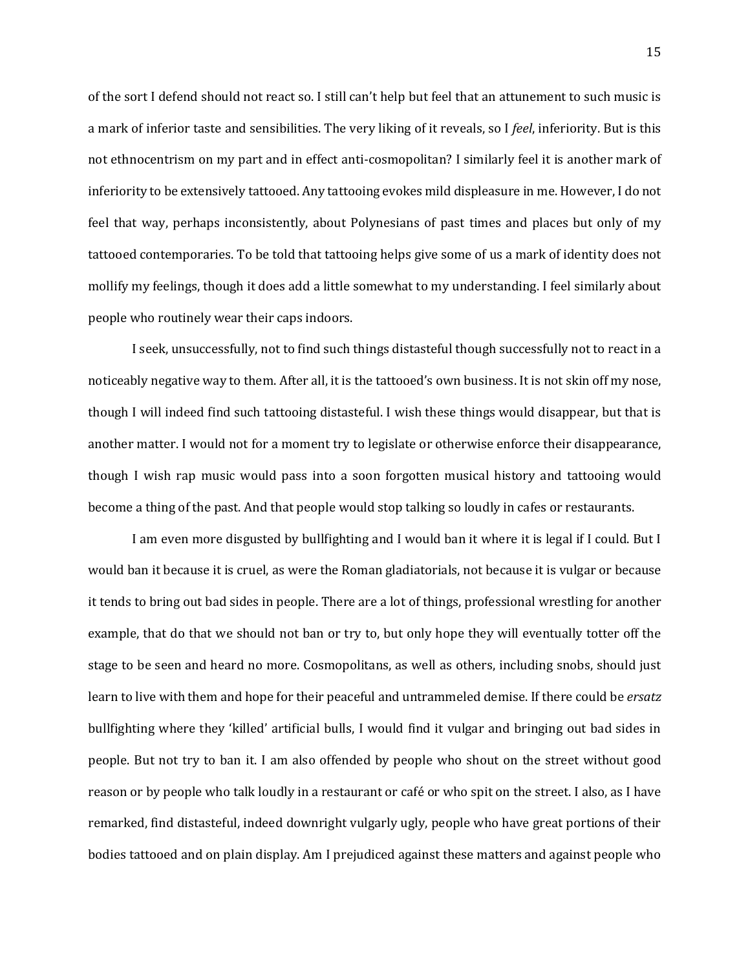of the sort I defend should not react so. I still can't help but feel that an attunement to such music is a mark of inferior taste and sensibilities. The very liking of it reveals, so I *feel*, inferiority. But is this not ethnocentrism on my part and in effect anti-cosmopolitan? I similarly feel it is another mark of inferiority to be extensively tattooed. Any tattooing evokes mild displeasure in me. However, I do not feel that way, perhaps inconsistently, about Polynesians of past times and places but only of my tattooed contemporaries. To be told that tattooing helps give some of us a mark of identity does not mollify my feelings, though it does add a little somewhat to my understanding. I feel similarly about people who routinely wear their caps indoors.

I seek, unsuccessfully, not to find such things distasteful though successfully not to react in a noticeably negative way to them. After all, it is the tattooed's own business. It is not skin off my nose, though I will indeed find such tattooing distasteful. I wish these things would disappear, but that is another matter. I would not for a moment try to legislate or otherwise enforce their disappearance, though I wish rap music would pass into a soon forgotten musical history and tattooing would become a thing of the past. And that people would stop talking so loudly in cafes or restaurants.

I am even more disgusted by bullfighting and I would ban it where it is legal if I could. But I would ban it because it is cruel, as were the Roman gladiatorials, not because it is vulgar or because it tends to bring out bad sides in people. There are a lot of things, professional wrestling for another example, that do that we should not ban or try to, but only hope they will eventually totter off the stage to be seen and heard no more. Cosmopolitans, as well as others, including snobs, should just learn to live with them and hope for their peaceful and untrammeled demise. If there could be *ersatz*  bullfighting where they 'killed' artificial bulls, I would find it vulgar and bringing out bad sides in people. But not try to ban it. I am also offended by people who shout on the street without good reason or by people who talk loudly in a restaurant or café or who spit on the street. I also, as I have remarked, find distasteful, indeed downright vulgarly ugly, people who have great portions of their bodies tattooed and on plain display. Am I prejudiced against these matters and against people who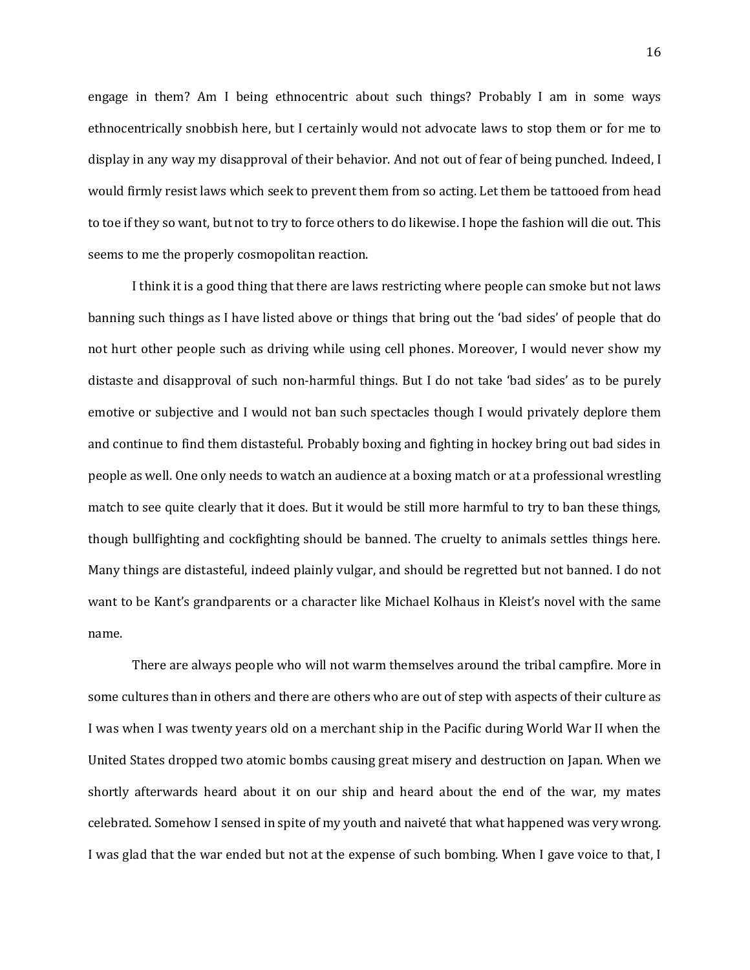engage in them? Am I being ethnocentric about such things? Probably I am in some ways ethnocentrically snobbish here, but I certainly would not advocate laws to stop them or for me to display in any way my disapproval of their behavior. And not out of fear of being punched. Indeed, I would firmly resist laws which seek to prevent them from so acting. Let them be tattooed from head to toe if they so want, but not to try to force others to do likewise. I hope the fashion will die out. This seems to me the properly cosmopolitan reaction.

I think it is a good thing that there are laws restricting where people can smoke but not laws banning such things as I have listed above or things that bring out the 'bad sides' of people that do not hurt other people such as driving while using cell phones. Moreover, I would never show my distaste and disapproval of such non-harmful things. But I do not take 'bad sides' as to be purely emotive or subjective and I would not ban such spectacles though I would privately deplore them and continue to find them distasteful. Probably boxing and fighting in hockey bring out bad sides in people as well. One only needs to watch an audience at a boxing match or at a professional wrestling match to see quite clearly that it does. But it would be still more harmful to try to ban these things, though bullfighting and cockfighting should be banned. The cruelty to animals settles things here. Many things are distasteful, indeed plainly vulgar, and should be regretted but not banned. I do not want to be Kant's grandparents or a character like Michael Kolhaus in Kleist's novel with the same name.

There are always people who will not warm themselves around the tribal campfire. More in some cultures than in others and there are others who are out of step with aspects of their culture as I was when I was twenty years old on a merchant ship in the Pacific during World War II when the United States dropped two atomic bombs causing great misery and destruction on Japan. When we shortly afterwards heard about it on our ship and heard about the end of the war, my mates celebrated. Somehow I sensed in spite of my youth and naiveté that what happened was very wrong. I was glad that the war ended but not at the expense of such bombing. When I gave voice to that, I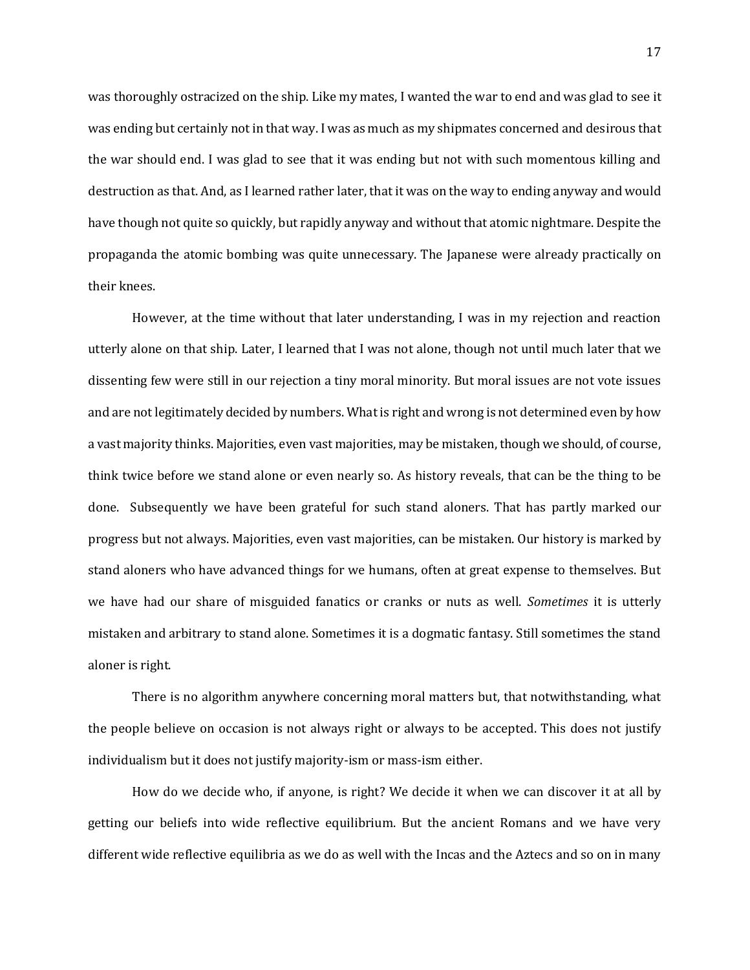was thoroughly ostracized on the ship. Like my mates, I wanted the war to end and was glad to see it was ending but certainly not in that way. I was as much as my shipmates concerned and desirous that the war should end. I was glad to see that it was ending but not with such momentous killing and destruction as that. And, as I learned rather later, that it was on the way to ending anyway and would have though not quite so quickly, but rapidly anyway and without that atomic nightmare. Despite the propaganda the atomic bombing was quite unnecessary. The Japanese were already practically on their knees.

However, at the time without that later understanding, I was in my rejection and reaction utterly alone on that ship. Later, I learned that I was not alone, though not until much later that we dissenting few were still in our rejection a tiny moral minority. But moral issues are not vote issues and are not legitimately decided by numbers. What is right and wrong is not determined even by how a vast majority thinks. Majorities, even vast majorities, may be mistaken, though we should, of course, think twice before we stand alone or even nearly so. As history reveals, that can be the thing to be done. Subsequently we have been grateful for such stand aloners. That has partly marked our progress but not always. Majorities, even vast majorities, can be mistaken. Our history is marked by stand aloners who have advanced things for we humans, often at great expense to themselves. But we have had our share of misguided fanatics or cranks or nuts as well. *Sometimes* it is utterly mistaken and arbitrary to stand alone. Sometimes it is a dogmatic fantasy. Still sometimes the stand aloner is right.

There is no algorithm anywhere concerning moral matters but, that notwithstanding, what the people believe on occasion is not always right or always to be accepted. This does not justify individualism but it does not justify majority-ism or mass-ism either.

How do we decide who, if anyone, is right? We decide it when we can discover it at all by getting our beliefs into wide reflective equilibrium. But the ancient Romans and we have very different wide reflective equilibria as we do as well with the Incas and the Aztecs and so on in many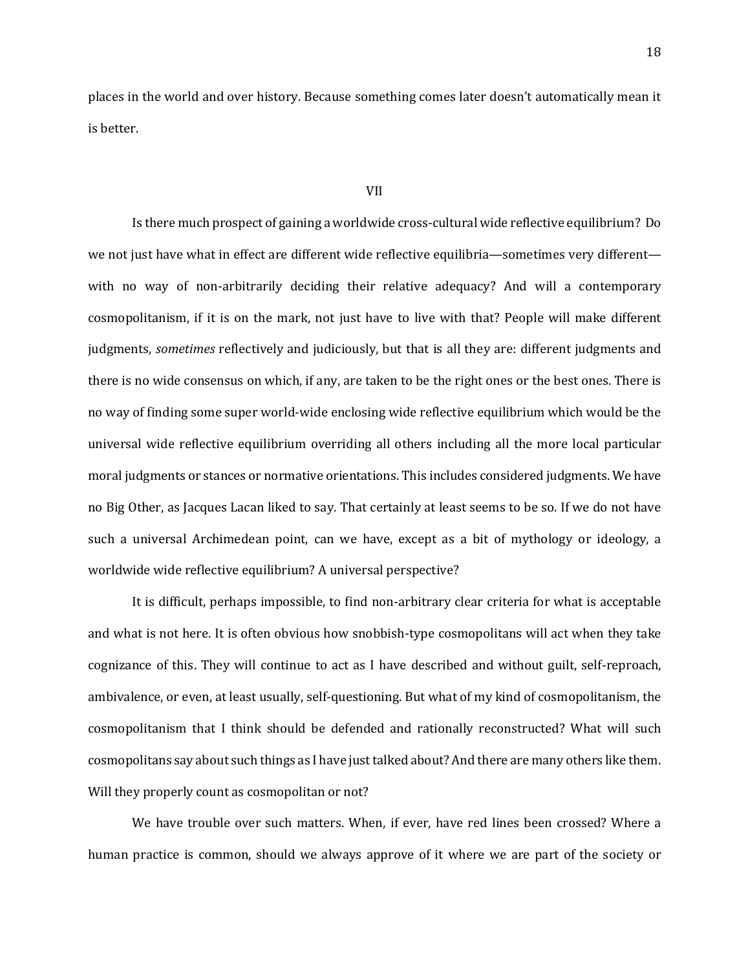places in the world and over history. Because something comes later doesn't automatically mean it is better.

### VII

Is there much prospect of gaining a worldwide cross-cultural wide reflective equilibrium? Do we not just have what in effect are different wide reflective equilibria—sometimes very different with no way of non-arbitrarily deciding their relative adequacy? And will a contemporary cosmopolitanism, if it is on the mark, not just have to live with that? People will make different judgments, *sometimes* reflectively and judiciously, but that is all they are: different judgments and there is no wide consensus on which, if any, are taken to be the right ones or the best ones. There is no way of finding some super world-wide enclosing wide reflective equilibrium which would be the universal wide reflective equilibrium overriding all others including all the more local particular moral judgments or stances or normative orientations. This includes considered judgments. We have no Big Other, as Jacques Lacan liked to say. That certainly at least seems to be so. If we do not have such a universal Archimedean point, can we have, except as a bit of mythology or ideology, a worldwide wide reflective equilibrium? A universal perspective?

It is difficult, perhaps impossible, to find non-arbitrary clear criteria for what is acceptable and what is not here. It is often obvious how snobbish-type cosmopolitans will act when they take cognizance of this. They will continue to act as I have described and without guilt, self-reproach, ambivalence, or even, at least usually, self-questioning. But what of my kind of cosmopolitanism, the cosmopolitanism that I think should be defended and rationally reconstructed? What will such cosmopolitans say about such things as I have just talked about? And there are many others like them. Will they properly count as cosmopolitan or not?

We have trouble over such matters. When, if ever, have red lines been crossed? Where a human practice is common, should we always approve of it where we are part of the society or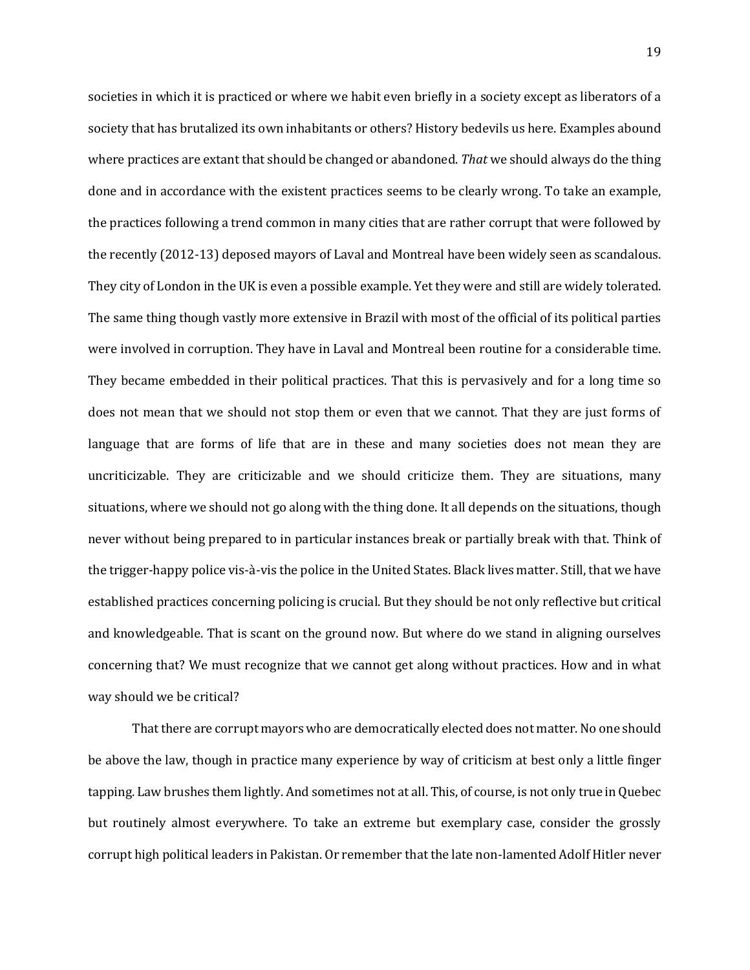societies in which it is practiced or where we habit even briefly in a society except as liberators of a society that has brutalized its own inhabitants or others? History bedevils us here. Examples abound where practices are extant that should be changed or abandoned. *That* we should always do the thing done and in accordance with the existent practices seems to be clearly wrong. To take an example, the practices following a trend common in many cities that are rather corrupt that were followed by the recently (2012-13) deposed mayors of Laval and Montreal have been widely seen as scandalous. They city of London in the UK is even a possible example. Yet they were and still are widely tolerated. The same thing though vastly more extensive in Brazil with most of the official of its political parties were involved in corruption. They have in Laval and Montreal been routine for a considerable time. They became embedded in their political practices. That this is pervasively and for a long time so does not mean that we should not stop them or even that we cannot. That they are just forms of language that are forms of life that are in these and many societies does not mean they are uncriticizable. They are criticizable and we should criticize them. They are situations, many situations, where we should not go along with the thing done. It all depends on the situations, though never without being prepared to in particular instances break or partially break with that. Think of the trigger-happy police vis-à-vis the police in the United States. Black lives matter. Still, that we have established practices concerning policing is crucial. But they should be not only reflective but critical and knowledgeable. That is scant on the ground now. But where do we stand in aligning ourselves concerning that? We must recognize that we cannot get along without practices. How and in what way should we be critical?

That there are corrupt mayors who are democratically elected does not matter. No one should be above the law, though in practice many experience by way of criticism at best only a little finger tapping. Law brushes them lightly. And sometimes not at all. This, of course, is not only true in Quebec but routinely almost everywhere. To take an extreme but exemplary case, consider the grossly corrupt high political leaders in Pakistan. Or remember that the late non-lamented Adolf Hitler never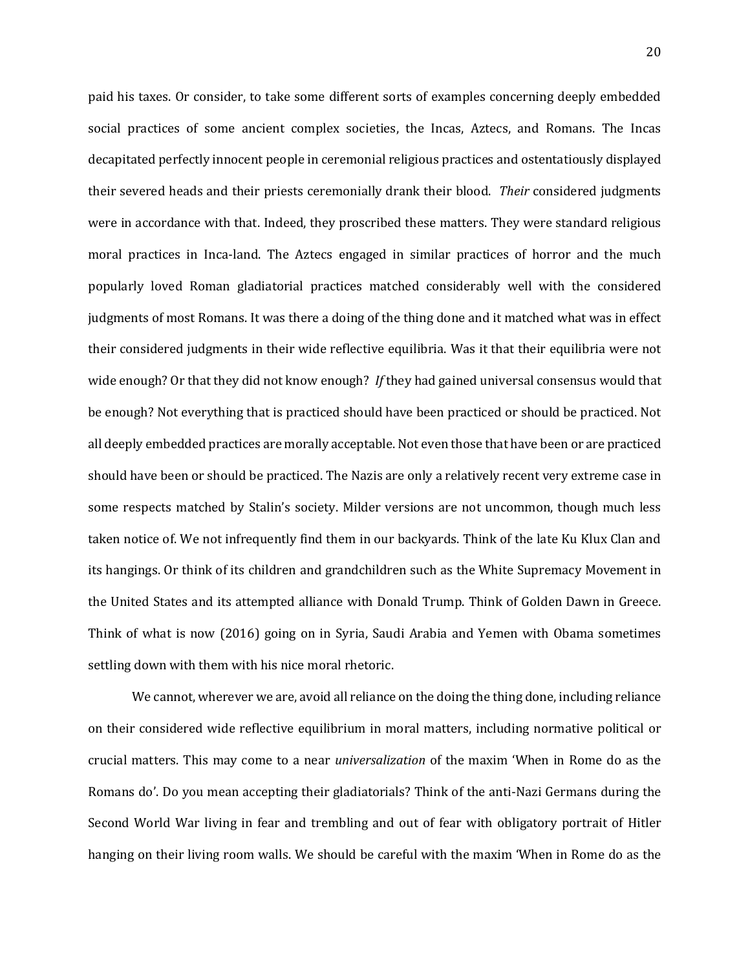paid his taxes. Or consider, to take some different sorts of examples concerning deeply embedded social practices of some ancient complex societies, the Incas, Aztecs, and Romans. The Incas decapitated perfectly innocent people in ceremonial religious practices and ostentatiously displayed their severed heads and their priests ceremonially drank their blood. *Their* considered judgments were in accordance with that. Indeed, they proscribed these matters. They were standard religious moral practices in Inca-land. The Aztecs engaged in similar practices of horror and the much popularly loved Roman gladiatorial practices matched considerably well with the considered judgments of most Romans. It was there a doing of the thing done and it matched what was in effect their considered judgments in their wide reflective equilibria. Was it that their equilibria were not wide enough? Or that they did not know enough? *If* they had gained universal consensus would that be enough? Not everything that is practiced should have been practiced or should be practiced. Not all deeply embedded practices are morally acceptable. Not even those that have been or are practiced should have been or should be practiced. The Nazis are only a relatively recent very extreme case in some respects matched by Stalin's society. Milder versions are not uncommon, though much less taken notice of. We not infrequently find them in our backyards. Think of the late Ku Klux Clan and its hangings. Or think of its children and grandchildren such as the White Supremacy Movement in the United States and its attempted alliance with Donald Trump. Think of Golden Dawn in Greece. Think of what is now (2016) going on in Syria, Saudi Arabia and Yemen with Obama sometimes settling down with them with his nice moral rhetoric.

We cannot, wherever we are, avoid all reliance on the doing the thing done, including reliance on their considered wide reflective equilibrium in moral matters, including normative political or crucial matters. This may come to a near *universalization* of the maxim 'When in Rome do as the Romans do'. Do you mean accepting their gladiatorials? Think of the anti-Nazi Germans during the Second World War living in fear and trembling and out of fear with obligatory portrait of Hitler hanging on their living room walls. We should be careful with the maxim 'When in Rome do as the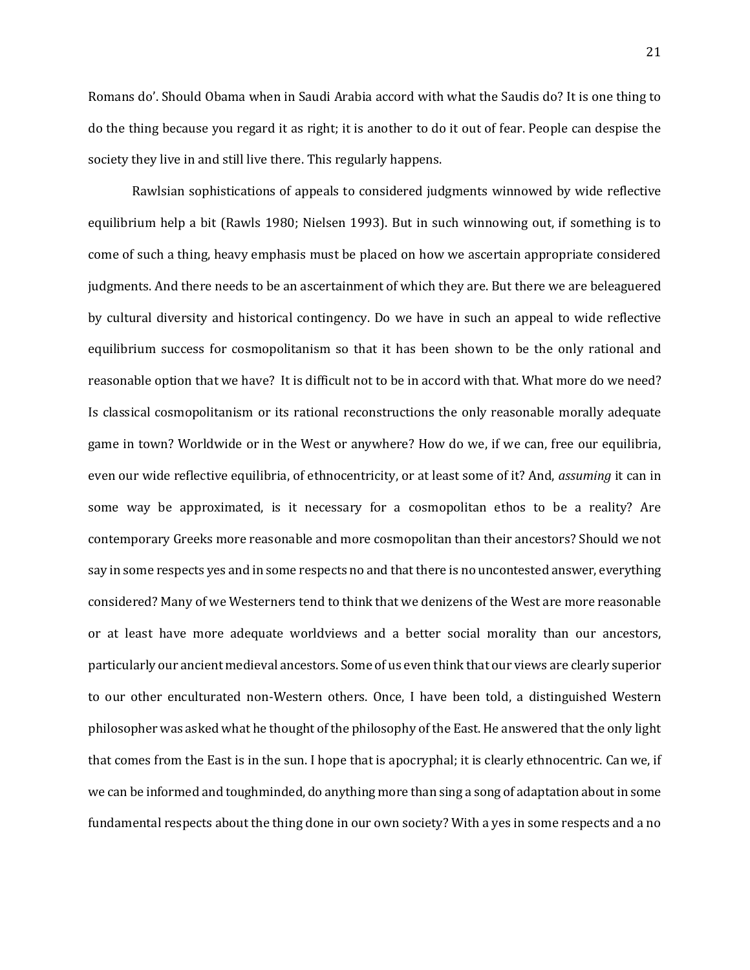21

Romans do'. Should Obama when in Saudi Arabia accord with what the Saudis do? It is one thing to do the thing because you regard it as right; it is another to do it out of fear. People can despise the society they live in and still live there. This regularly happens.

Rawlsian sophistications of appeals to considered judgments winnowed by wide reflective equilibrium help a bit (Rawls 1980; Nielsen 1993). But in such winnowing out, if something is to come of such a thing, heavy emphasis must be placed on how we ascertain appropriate considered judgments. And there needs to be an ascertainment of which they are. But there we are beleaguered by cultural diversity and historical contingency. Do we have in such an appeal to wide reflective equilibrium success for cosmopolitanism so that it has been shown to be the only rational and reasonable option that we have? It is difficult not to be in accord with that. What more do we need? Is classical cosmopolitanism or its rational reconstructions the only reasonable morally adequate game in town? Worldwide or in the West or anywhere? How do we, if we can, free our equilibria, even our wide reflective equilibria, of ethnocentricity, or at least some of it? And, *assuming* it can in some way be approximated, is it necessary for a cosmopolitan ethos to be a reality? Are contemporary Greeks more reasonable and more cosmopolitan than their ancestors? Should we not say in some respects yes and in some respects no and that there is no uncontested answer, everything considered? Many of we Westerners tend to think that we denizens of the West are more reasonable or at least have more adequate worldviews and a better social morality than our ancestors, particularly our ancient medieval ancestors. Some of us even think that our views are clearly superior to our other enculturated non-Western others. Once, I have been told, a distinguished Western philosopher was asked what he thought of the philosophy of the East. He answered that the only light that comes from the East is in the sun. I hope that is apocryphal; it is clearly ethnocentric. Can we, if we can be informed and toughminded, do anything more than sing a song of adaptation about in some fundamental respects about the thing done in our own society? With a yes in some respects and a no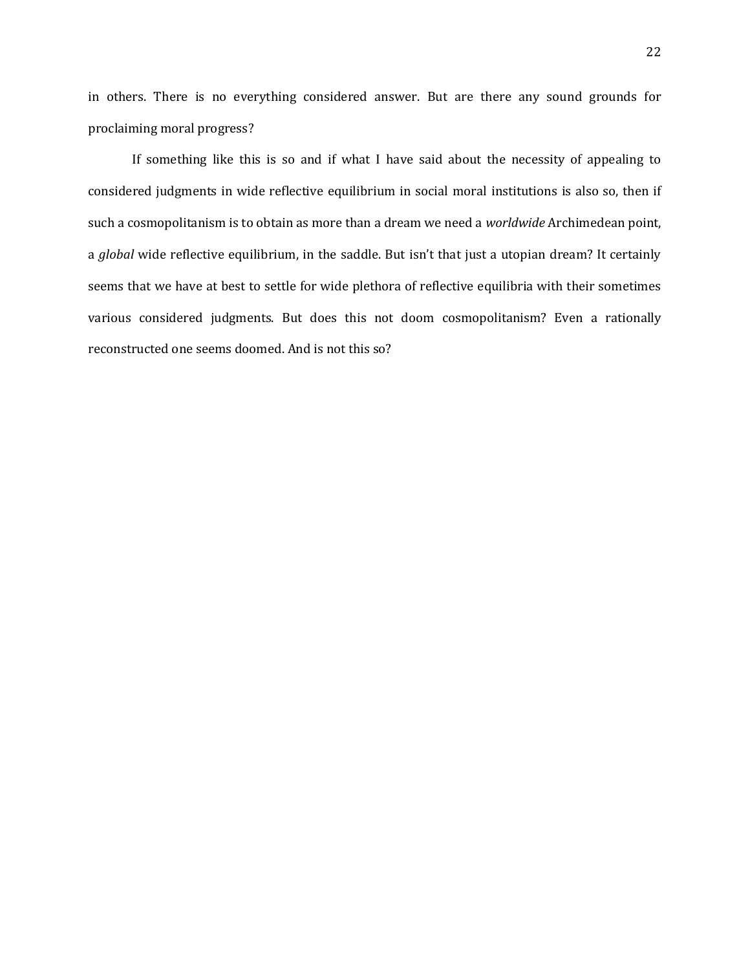in others. There is no everything considered answer. But are there any sound grounds for proclaiming moral progress?

If something like this is so and if what I have said about the necessity of appealing to considered judgments in wide reflective equilibrium in social moral institutions is also so, then if such a cosmopolitanism is to obtain as more than a dream we need a *worldwide* Archimedean point, a *global* wide reflective equilibrium, in the saddle. But isn't that just a utopian dream? It certainly seems that we have at best to settle for wide plethora of reflective equilibria with their sometimes various considered judgments. But does this not doom cosmopolitanism? Even a rationally reconstructed one seems doomed. And is not this so?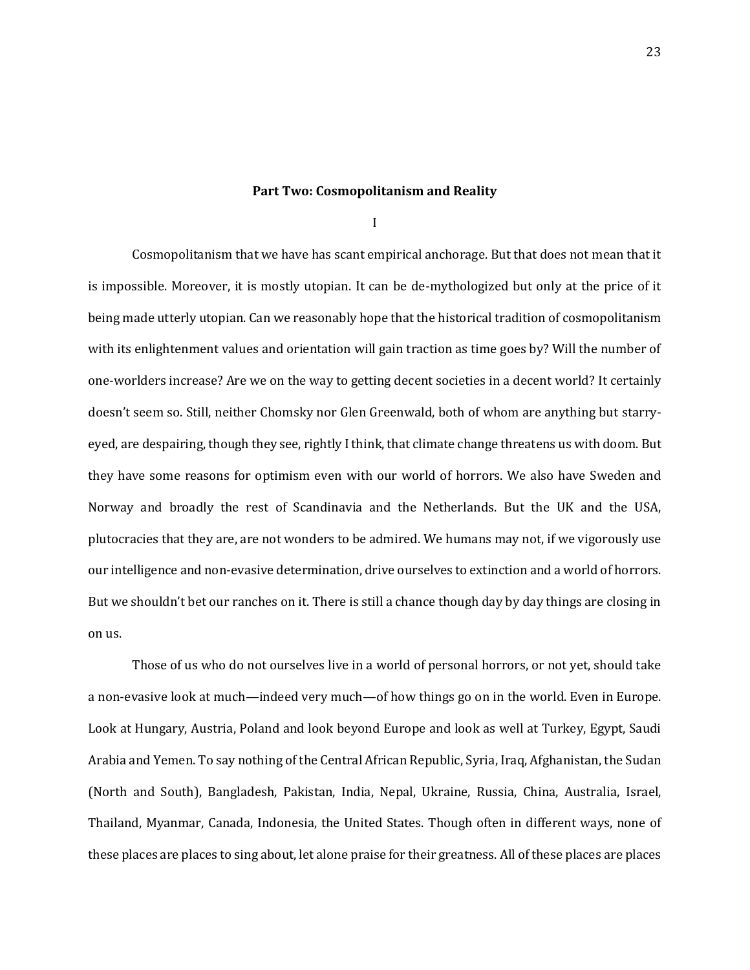## **Part Two: Cosmopolitanism and Reality**

I

Cosmopolitanism that we have has scant empirical anchorage. But that does not mean that it is impossible. Moreover, it is mostly utopian. It can be de-mythologized but only at the price of it being made utterly utopian. Can we reasonably hope that the historical tradition of cosmopolitanism with its enlightenment values and orientation will gain traction as time goes by? Will the number of one-worlders increase? Are we on the way to getting decent societies in a decent world? It certainly doesn't seem so. Still, neither Chomsky nor Glen Greenwald, both of whom are anything but starryeyed, are despairing, though they see, rightly I think, that climate change threatens us with doom. But they have some reasons for optimism even with our world of horrors. We also have Sweden and Norway and broadly the rest of Scandinavia and the Netherlands. But the UK and the USA, plutocracies that they are, are not wonders to be admired. We humans may not, if we vigorously use our intelligence and non-evasive determination, drive ourselves to extinction and a world of horrors. But we shouldn't bet our ranches on it. There is still a chance though day by day things are closing in on us.

Those of us who do not ourselves live in a world of personal horrors, or not yet, should take a non-evasive look at much—indeed very much—of how things go on in the world. Even in Europe. Look at Hungary, Austria, Poland and look beyond Europe and look as well at Turkey, Egypt, Saudi Arabia and Yemen. To say nothing of the Central African Republic, Syria, Iraq, Afghanistan, the Sudan (North and South), Bangladesh, Pakistan, India, Nepal, Ukraine, Russia, China, Australia, Israel, Thailand, Myanmar, Canada, Indonesia, the United States. Though often in different ways, none of these places are places to sing about, let alone praise for their greatness. All of these places are places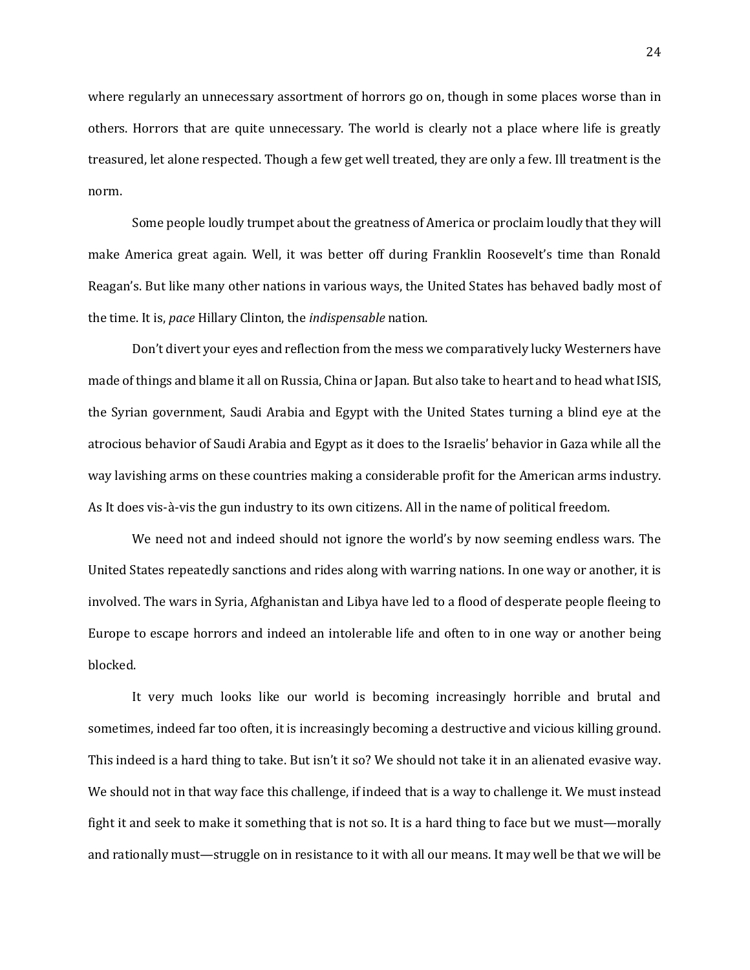where regularly an unnecessary assortment of horrors go on, though in some places worse than in others. Horrors that are quite unnecessary. The world is clearly not a place where life is greatly treasured, let alone respected. Though a few get well treated, they are only a few. Ill treatment is the norm.

Some people loudly trumpet about the greatness of America or proclaim loudly that they will make America great again. Well, it was better off during Franklin Roosevelt's time than Ronald Reagan's. But like many other nations in various ways, the United States has behaved badly most of the time. It is, *pace* Hillary Clinton, the *indispensable* nation.

Don't divert your eyes and reflection from the mess we comparatively lucky Westerners have made of things and blame it all on Russia, China or Japan. But also take to heart and to head what ISIS, the Syrian government, Saudi Arabia and Egypt with the United States turning a blind eye at the atrocious behavior of Saudi Arabia and Egypt as it does to the Israelis' behavior in Gaza while all the way lavishing arms on these countries making a considerable profit for the American arms industry. As It does vis-à-vis the gun industry to its own citizens. All in the name of political freedom.

We need not and indeed should not ignore the world's by now seeming endless wars. The United States repeatedly sanctions and rides along with warring nations. In one way or another, it is involved. The wars in Syria, Afghanistan and Libya have led to a flood of desperate people fleeing to Europe to escape horrors and indeed an intolerable life and often to in one way or another being blocked.

It very much looks like our world is becoming increasingly horrible and brutal and sometimes, indeed far too often, it is increasingly becoming a destructive and vicious killing ground. This indeed is a hard thing to take. But isn't it so? We should not take it in an alienated evasive way. We should not in that way face this challenge, if indeed that is a way to challenge it. We must instead fight it and seek to make it something that is not so. It is a hard thing to face but we must—morally and rationally must—struggle on in resistance to it with all our means. It may well be that we will be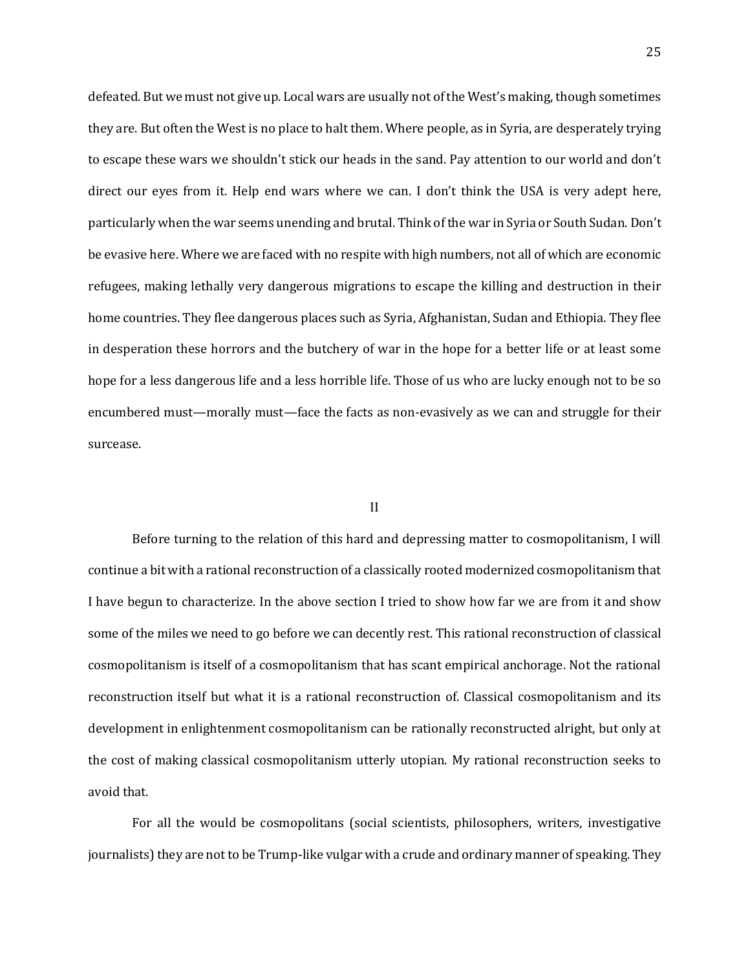defeated. But we must not give up. Local wars are usually not of the West's making, though sometimes they are. But often the West is no place to halt them. Where people, as in Syria, are desperately trying to escape these wars we shouldn't stick our heads in the sand. Pay attention to our world and don't direct our eyes from it. Help end wars where we can. I don't think the USA is very adept here, particularly when the war seems unending and brutal. Think of the war in Syria or South Sudan. Don't be evasive here. Where we are faced with no respite with high numbers, not all of which are economic refugees, making lethally very dangerous migrations to escape the killing and destruction in their home countries. They flee dangerous places such as Syria, Afghanistan, Sudan and Ethiopia. They flee in desperation these horrors and the butchery of war in the hope for a better life or at least some hope for a less dangerous life and a less horrible life. Those of us who are lucky enough not to be so encumbered must—morally must—face the facts as non-evasively as we can and struggle for their surcease.

#### II

Before turning to the relation of this hard and depressing matter to cosmopolitanism, I will continue a bit with a rational reconstruction of a classically rooted modernized cosmopolitanism that I have begun to characterize. In the above section I tried to show how far we are from it and show some of the miles we need to go before we can decently rest. This rational reconstruction of classical cosmopolitanism is itself of a cosmopolitanism that has scant empirical anchorage. Not the rational reconstruction itself but what it is a rational reconstruction of. Classical cosmopolitanism and its development in enlightenment cosmopolitanism can be rationally reconstructed alright, but only at the cost of making classical cosmopolitanism utterly utopian. My rational reconstruction seeks to avoid that.

For all the would be cosmopolitans (social scientists, philosophers, writers, investigative journalists) they are not to be Trump-like vulgar with a crude and ordinary manner of speaking. They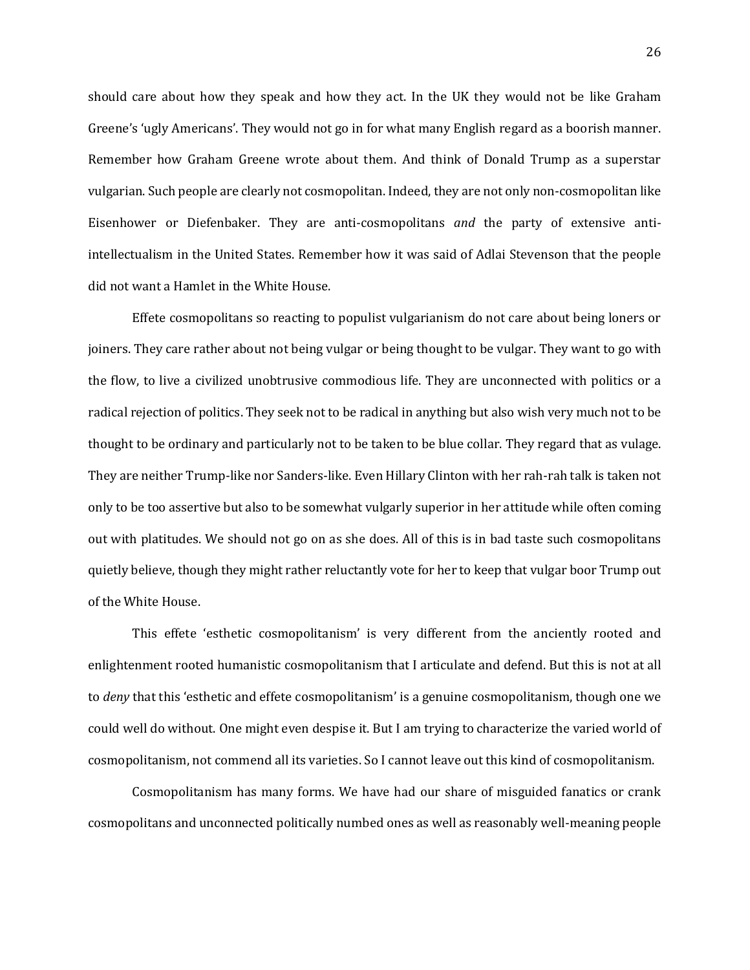should care about how they speak and how they act. In the UK they would not be like Graham Greene's 'ugly Americans'. They would not go in for what many English regard as a boorish manner. Remember how Graham Greene wrote about them. And think of Donald Trump as a superstar vulgarian. Such people are clearly not cosmopolitan. Indeed, they are not only non-cosmopolitan like Eisenhower or Diefenbaker. They are anti-cosmopolitans *and* the party of extensive antiintellectualism in the United States. Remember how it was said of Adlai Stevenson that the people did not want a Hamlet in the White House.

Effete cosmopolitans so reacting to populist vulgarianism do not care about being loners or joiners. They care rather about not being vulgar or being thought to be vulgar. They want to go with the flow, to live a civilized unobtrusive commodious life. They are unconnected with politics or a radical rejection of politics. They seek not to be radical in anything but also wish very much not to be thought to be ordinary and particularly not to be taken to be blue collar. They regard that as vulage. They are neither Trump-like nor Sanders-like. Even Hillary Clinton with her rah-rah talk is taken not only to be too assertive but also to be somewhat vulgarly superior in her attitude while often coming out with platitudes. We should not go on as she does. All of this is in bad taste such cosmopolitans quietly believe, though they might rather reluctantly vote for her to keep that vulgar boor Trump out of the White House.

This effete 'esthetic cosmopolitanism' is very different from the anciently rooted and enlightenment rooted humanistic cosmopolitanism that I articulate and defend. But this is not at all to *deny* that this 'esthetic and effete cosmopolitanism' is a genuine cosmopolitanism, though one we could well do without. One might even despise it. But I am trying to characterize the varied world of cosmopolitanism, not commend all its varieties. So I cannot leave out this kind of cosmopolitanism.

Cosmopolitanism has many forms. We have had our share of misguided fanatics or crank cosmopolitans and unconnected politically numbed ones as well as reasonably well-meaning people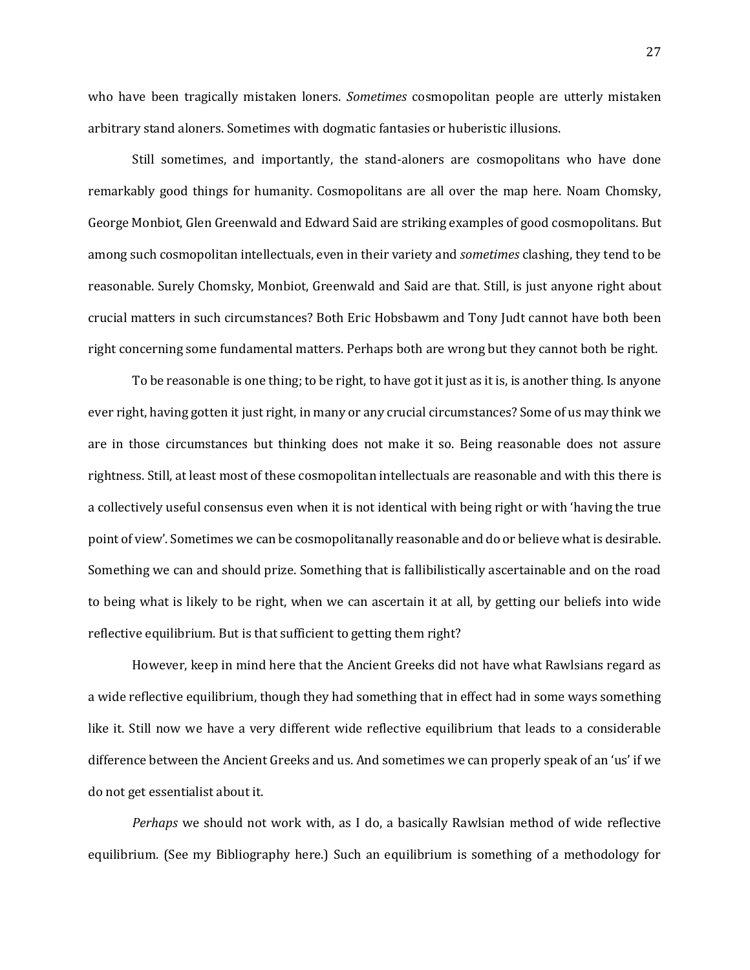who have been tragically mistaken loners. *Sometimes* cosmopolitan people are utterly mistaken arbitrary stand aloners. Sometimes with dogmatic fantasies or huberistic illusions.

Still sometimes, and importantly, the stand-aloners are cosmopolitans who have done remarkably good things for humanity. Cosmopolitans are all over the map here. Noam Chomsky, George Monbiot, Glen Greenwald and Edward Said are striking examples of good cosmopolitans. But among such cosmopolitan intellectuals, even in their variety and *sometimes* clashing, they tend to be reasonable. Surely Chomsky, Monbiot, Greenwald and Said are that. Still, is just anyone right about crucial matters in such circumstances? Both Eric Hobsbawm and Tony Judt cannot have both been right concerning some fundamental matters. Perhaps both are wrong but they cannot both be right.

To be reasonable is one thing; to be right, to have got it just as it is, is another thing. Is anyone ever right, having gotten it just right, in many or any crucial circumstances? Some of us may think we are in those circumstances but thinking does not make it so. Being reasonable does not assure rightness. Still, at least most of these cosmopolitan intellectuals are reasonable and with this there is a collectively useful consensus even when it is not identical with being right or with 'having the true point of view'. Sometimes we can be cosmopolitanally reasonable and do or believe what is desirable. Something we can and should prize. Something that is fallibilistically ascertainable and on the road to being what is likely to be right, when we can ascertain it at all, by getting our beliefs into wide reflective equilibrium. But is that sufficient to getting them right?

However, keep in mind here that the Ancient Greeks did not have what Rawlsians regard as a wide reflective equilibrium, though they had something that in effect had in some ways something like it. Still now we have a very different wide reflective equilibrium that leads to a considerable difference between the Ancient Greeks and us. And sometimes we can properly speak of an 'us' if we do not get essentialist about it.

*Perhaps* we should not work with, as I do, a basically Rawlsian method of wide reflective equilibrium. (See my Bibliography here.) Such an equilibrium is something of a methodology for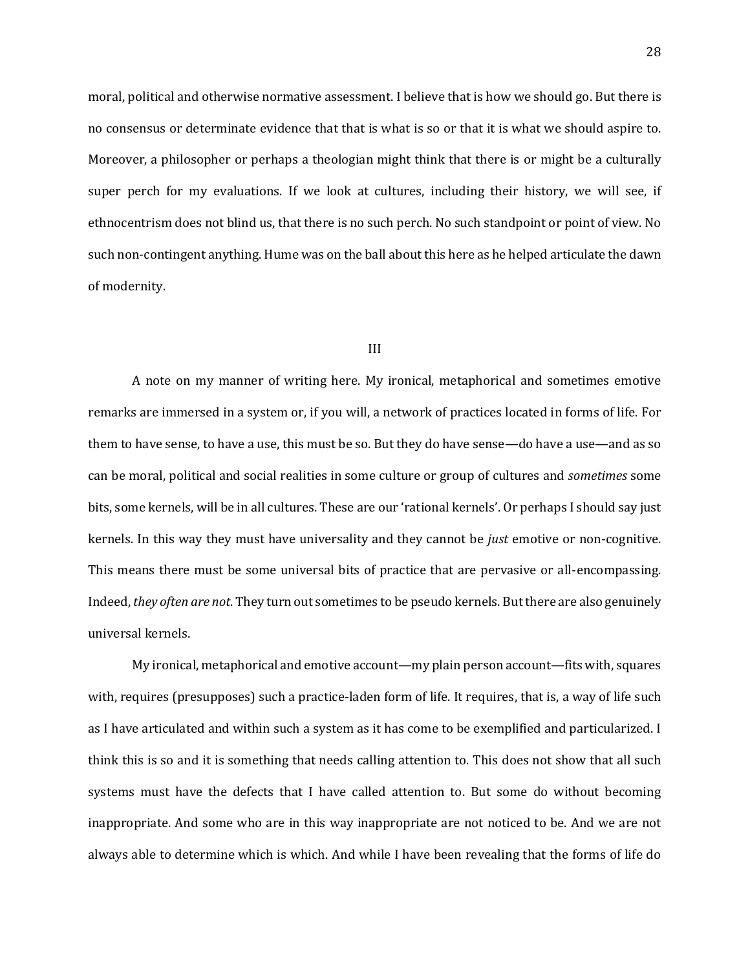moral, political and otherwise normative assessment. I believe that is how we should go. But there is no consensus or determinate evidence that that is what is so or that it is what we should aspire to. Moreover, a philosopher or perhaps a theologian might think that there is or might be a culturally super perch for my evaluations. If we look at cultures, including their history, we will see, if ethnocentrism does not blind us, that there is no such perch. No such standpoint or point of view. No such non-contingent anything. Hume was on the ball about this here as he helped articulate the dawn of modernity.

#### III

A note on my manner of writing here. My ironical, metaphorical and sometimes emotive remarks are immersed in a system or, if you will, a network of practices located in forms of life. For them to have sense, to have a use, this must be so. But they do have sense—do have a use—and as so can be moral, political and social realities in some culture or group of cultures and *sometimes* some bits, some kernels, will be in all cultures. These are our 'rational kernels'. Or perhaps I should say just kernels. In this way they must have universality and they cannot be *just* emotive or non-cognitive. This means there must be some universal bits of practice that are pervasive or all-encompassing. Indeed, *they often are not*. They turn out sometimes to be pseudo kernels. But there are also genuinely universal kernels.

My ironical, metaphorical and emotive account—my plain person account—fits with, squares with, requires (presupposes) such a practice-laden form of life. It requires, that is, a way of life such as I have articulated and within such a system as it has come to be exemplified and particularized. I think this is so and it is something that needs calling attention to. This does not show that all such systems must have the defects that I have called attention to. But some do without becoming inappropriate. And some who are in this way inappropriate are not noticed to be. And we are not always able to determine which is which. And while I have been revealing that the forms of life do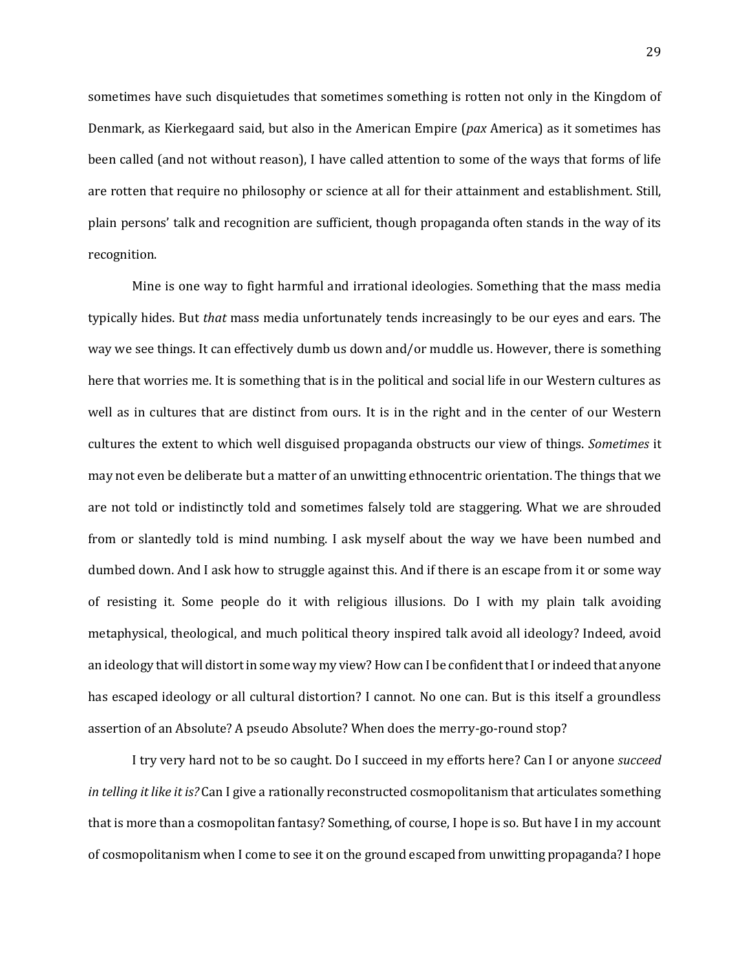sometimes have such disquietudes that sometimes something is rotten not only in the Kingdom of Denmark, as Kierkegaard said, but also in the American Empire (*pax* America) as it sometimes has been called (and not without reason), I have called attention to some of the ways that forms of life are rotten that require no philosophy or science at all for their attainment and establishment. Still, plain persons' talk and recognition are sufficient, though propaganda often stands in the way of its recognition.

Mine is one way to fight harmful and irrational ideologies. Something that the mass media typically hides. But *that* mass media unfortunately tends increasingly to be our eyes and ears. The way we see things. It can effectively dumb us down and/or muddle us. However, there is something here that worries me. It is something that is in the political and social life in our Western cultures as well as in cultures that are distinct from ours. It is in the right and in the center of our Western cultures the extent to which well disguised propaganda obstructs our view of things. *Sometimes* it may not even be deliberate but a matter of an unwitting ethnocentric orientation. The things that we are not told or indistinctly told and sometimes falsely told are staggering. What we are shrouded from or slantedly told is mind numbing. I ask myself about the way we have been numbed and dumbed down. And I ask how to struggle against this. And if there is an escape from it or some way of resisting it. Some people do it with religious illusions. Do I with my plain talk avoiding metaphysical, theological, and much political theory inspired talk avoid all ideology? Indeed, avoid an ideology that will distort in some way my view? How can I be confident that I or indeed that anyone has escaped ideology or all cultural distortion? I cannot. No one can. But is this itself a groundless assertion of an Absolute? A pseudo Absolute? When does the merry-go-round stop?

I try very hard not to be so caught. Do I succeed in my efforts here? Can I or anyone *succeed in telling it like it is?* Can I give a rationally reconstructed cosmopolitanism that articulates something that is more than a cosmopolitan fantasy? Something, of course, I hope is so. But have I in my account of cosmopolitanism when I come to see it on the ground escaped from unwitting propaganda? I hope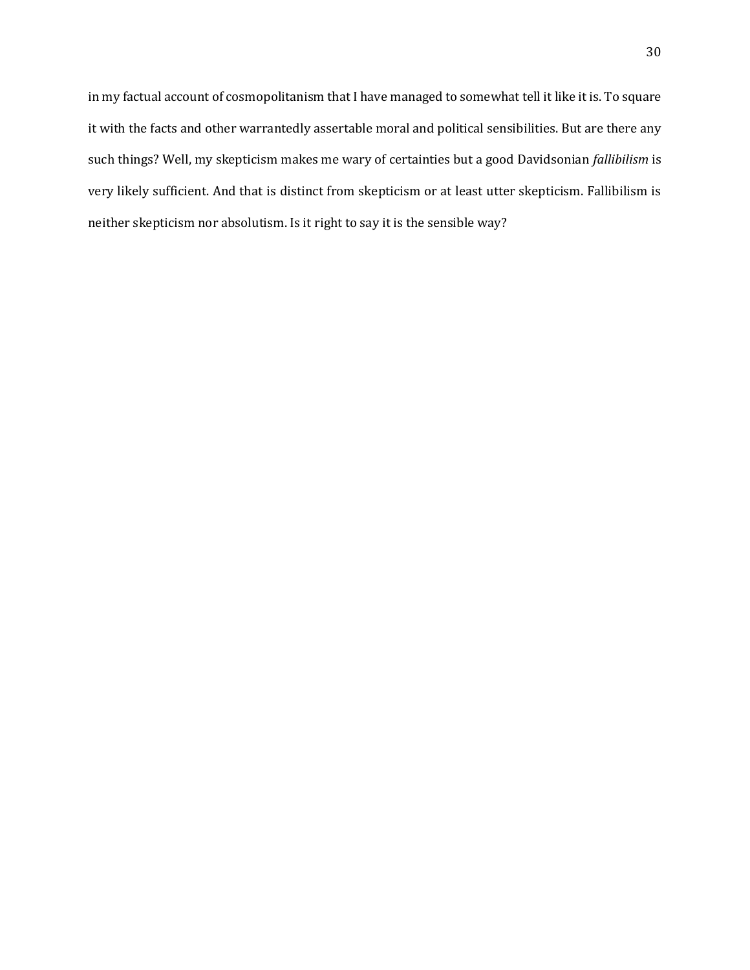in my factual account of cosmopolitanism that I have managed to somewhat tell it like it is. To square it with the facts and other warrantedly assertable moral and political sensibilities. But are there any such things? Well, my skepticism makes me wary of certainties but a good Davidsonian *fallibilism* is very likely sufficient. And that is distinct from skepticism or at least utter skepticism. Fallibilism is neither skepticism nor absolutism. Is it right to say it is the sensible way?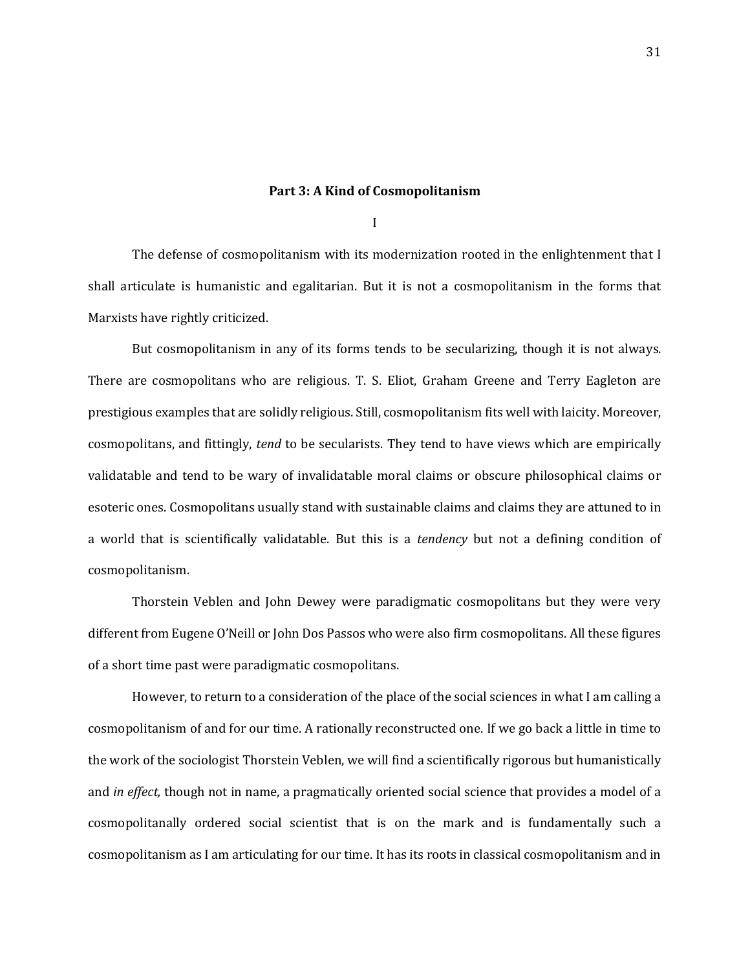## **Part 3: A Kind of Cosmopolitanism**

I

The defense of cosmopolitanism with its modernization rooted in the enlightenment that I shall articulate is humanistic and egalitarian. But it is not a cosmopolitanism in the forms that Marxists have rightly criticized.

But cosmopolitanism in any of its forms tends to be secularizing, though it is not always. There are cosmopolitans who are religious. T. S. Eliot, Graham Greene and Terry Eagleton are prestigious examples that are solidly religious. Still, cosmopolitanism fits well with laicity. Moreover, cosmopolitans, and fittingly, *tend* to be secularists. They tend to have views which are empirically validatable and tend to be wary of invalidatable moral claims or obscure philosophical claims or esoteric ones. Cosmopolitans usually stand with sustainable claims and claims they are attuned to in a world that is scientifically validatable. But this is a *tendency* but not a defining condition of cosmopolitanism.

Thorstein Veblen and John Dewey were paradigmatic cosmopolitans but they were very different from Eugene O'Neill or John Dos Passos who were also firm cosmopolitans. All these figures of a short time past were paradigmatic cosmopolitans.

However, to return to a consideration of the place of the social sciences in what I am calling a cosmopolitanism of and for our time. A rationally reconstructed one. If we go back a little in time to the work of the sociologist Thorstein Veblen, we will find a scientifically rigorous but humanistically and *in effect,* though not in name, a pragmatically oriented social science that provides a model of a cosmopolitanally ordered social scientist that is on the mark and is fundamentally such a cosmopolitanism as I am articulating for our time. It has its roots in classical cosmopolitanism and in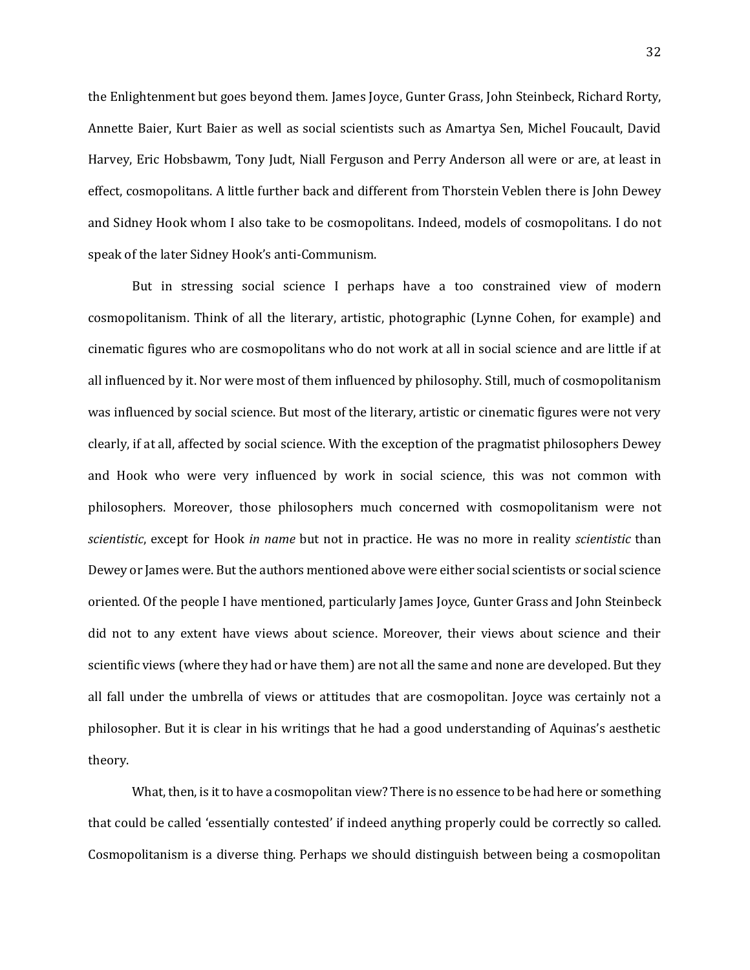the Enlightenment but goes beyond them. James Joyce, Gunter Grass, John Steinbeck, Richard Rorty, Annette Baier, Kurt Baier as well as social scientists such as Amartya Sen, Michel Foucault, David Harvey, Eric Hobsbawm, Tony Judt, Niall Ferguson and Perry Anderson all were or are, at least in effect, cosmopolitans. A little further back and different from Thorstein Veblen there is John Dewey and Sidney Hook whom I also take to be cosmopolitans. Indeed, models of cosmopolitans. I do not speak of the later Sidney Hook's anti-Communism.

But in stressing social science I perhaps have a too constrained view of modern cosmopolitanism. Think of all the literary, artistic, photographic (Lynne Cohen, for example) and cinematic figures who are cosmopolitans who do not work at all in social science and are little if at all influenced by it. Nor were most of them influenced by philosophy. Still, much of cosmopolitanism was influenced by social science. But most of the literary, artistic or cinematic figures were not very clearly, if at all, affected by social science. With the exception of the pragmatist philosophers Dewey and Hook who were very influenced by work in social science, this was not common with philosophers. Moreover, those philosophers much concerned with cosmopolitanism were not *scientistic*, except for Hook *in name* but not in practice. He was no more in reality *scientistic* than Dewey or James were. But the authors mentioned above were either social scientists or social science oriented. Of the people I have mentioned, particularly James Joyce, Gunter Grass and John Steinbeck did not to any extent have views about science. Moreover, their views about science and their scientific views (where they had or have them) are not all the same and none are developed. But they all fall under the umbrella of views or attitudes that are cosmopolitan. Joyce was certainly not a philosopher. But it is clear in his writings that he had a good understanding of Aquinas's aesthetic theory.

What, then, is it to have a cosmopolitan view? There is no essence to be had here or something that could be called 'essentially contested' if indeed anything properly could be correctly so called. Cosmopolitanism is a diverse thing. Perhaps we should distinguish between being a cosmopolitan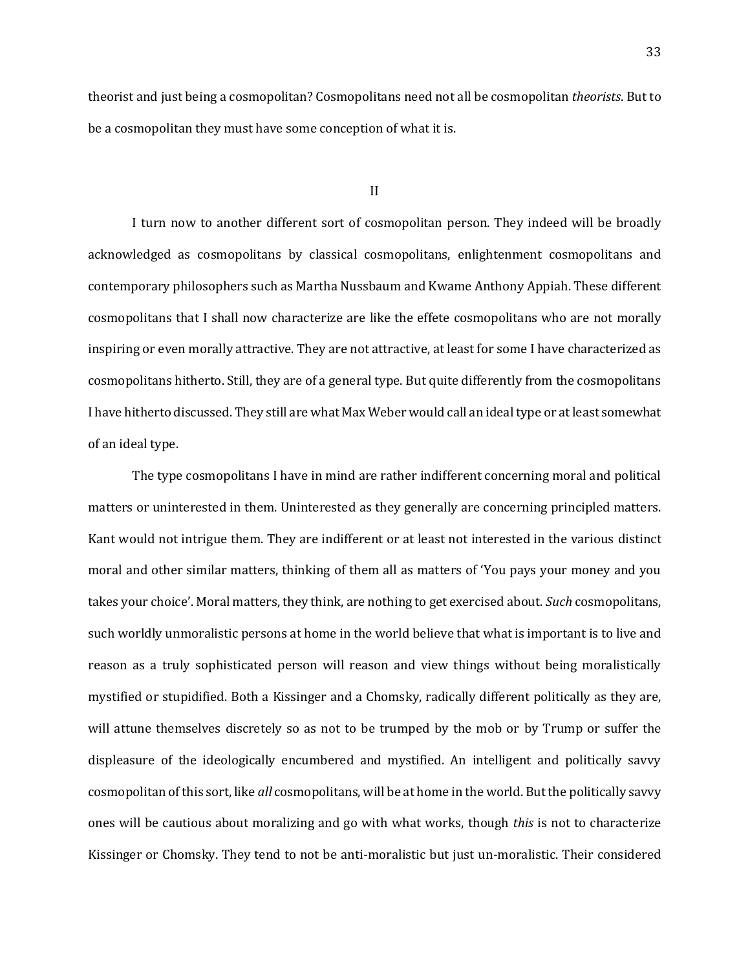theorist and just being a cosmopolitan? Cosmopolitans need not all be cosmopolitan *theorists*. But to be a cosmopolitan they must have some conception of what it is.

### II

I turn now to another different sort of cosmopolitan person. They indeed will be broadly acknowledged as cosmopolitans by classical cosmopolitans, enlightenment cosmopolitans and contemporary philosophers such as Martha Nussbaum and Kwame Anthony Appiah. These different cosmopolitans that I shall now characterize are like the effete cosmopolitans who are not morally inspiring or even morally attractive. They are not attractive, at least for some I have characterized as cosmopolitans hitherto. Still, they are of a general type. But quite differently from the cosmopolitans I have hitherto discussed. They still are what Max Weber would call an ideal type or at least somewhat of an ideal type.

The type cosmopolitans I have in mind are rather indifferent concerning moral and political matters or uninterested in them. Uninterested as they generally are concerning principled matters. Kant would not intrigue them. They are indifferent or at least not interested in the various distinct moral and other similar matters, thinking of them all as matters of 'You pays your money and you takes your choice'. Moral matters, they think, are nothing to get exercised about. *Such* cosmopolitans, such worldly unmoralistic persons at home in the world believe that what is important is to live and reason as a truly sophisticated person will reason and view things without being moralistically mystified or stupidified. Both a Kissinger and a Chomsky, radically different politically as they are, will attune themselves discretely so as not to be trumped by the mob or by Trump or suffer the displeasure of the ideologically encumbered and mystified. An intelligent and politically savvy cosmopolitan of this sort, like *all* cosmopolitans, will be at home in the world. But the politically savvy ones will be cautious about moralizing and go with what works, though *this* is not to characterize Kissinger or Chomsky. They tend to not be anti-moralistic but just un-moralistic. Their considered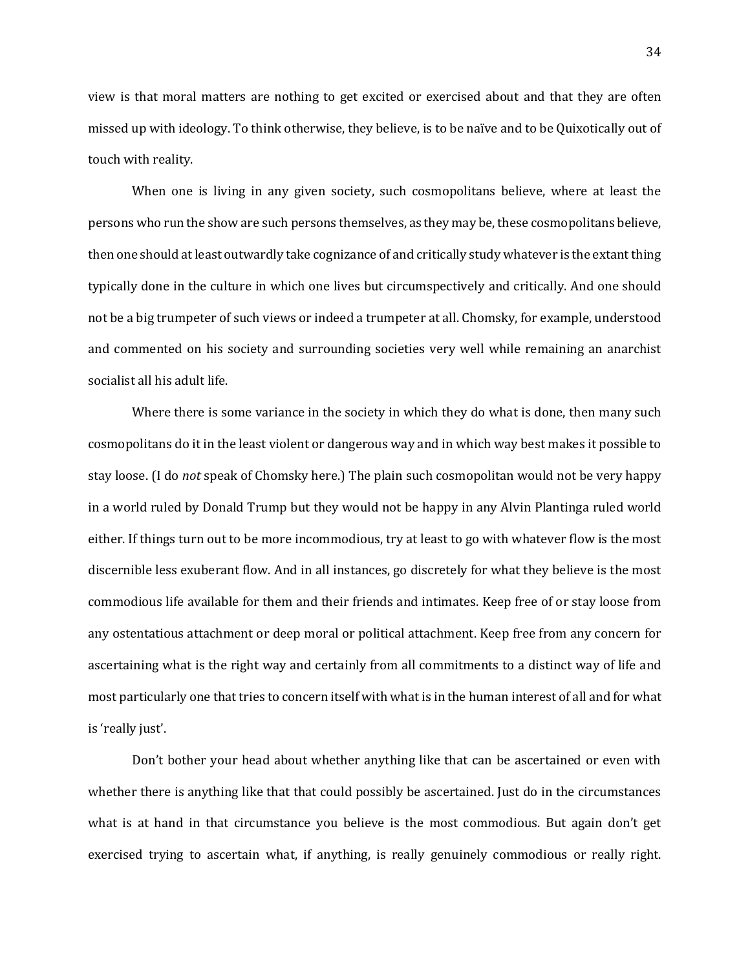view is that moral matters are nothing to get excited or exercised about and that they are often missed up with ideology. To think otherwise, they believe, is to be naïve and to be Quixotically out of touch with reality.

When one is living in any given society, such cosmopolitans believe, where at least the persons who run the show are such persons themselves, as they may be, these cosmopolitans believe, then one should at least outwardly take cognizance of and critically study whatever is the extant thing typically done in the culture in which one lives but circumspectively and critically. And one should not be a big trumpeter of such views or indeed a trumpeter at all. Chomsky, for example, understood and commented on his society and surrounding societies very well while remaining an anarchist socialist all his adult life.

Where there is some variance in the society in which they do what is done, then many such cosmopolitans do it in the least violent or dangerous way and in which way best makes it possible to stay loose. (I do *not* speak of Chomsky here.) The plain such cosmopolitan would not be very happy in a world ruled by Donald Trump but they would not be happy in any Alvin Plantinga ruled world either. If things turn out to be more incommodious, try at least to go with whatever flow is the most discernible less exuberant flow. And in all instances, go discretely for what they believe is the most commodious life available for them and their friends and intimates. Keep free of or stay loose from any ostentatious attachment or deep moral or political attachment. Keep free from any concern for ascertaining what is the right way and certainly from all commitments to a distinct way of life and most particularly one that tries to concern itself with what is in the human interest of all and for what is 'really just'.

Don't bother your head about whether anything like that can be ascertained or even with whether there is anything like that that could possibly be ascertained. Just do in the circumstances what is at hand in that circumstance you believe is the most commodious. But again don't get exercised trying to ascertain what, if anything, is really genuinely commodious or really right.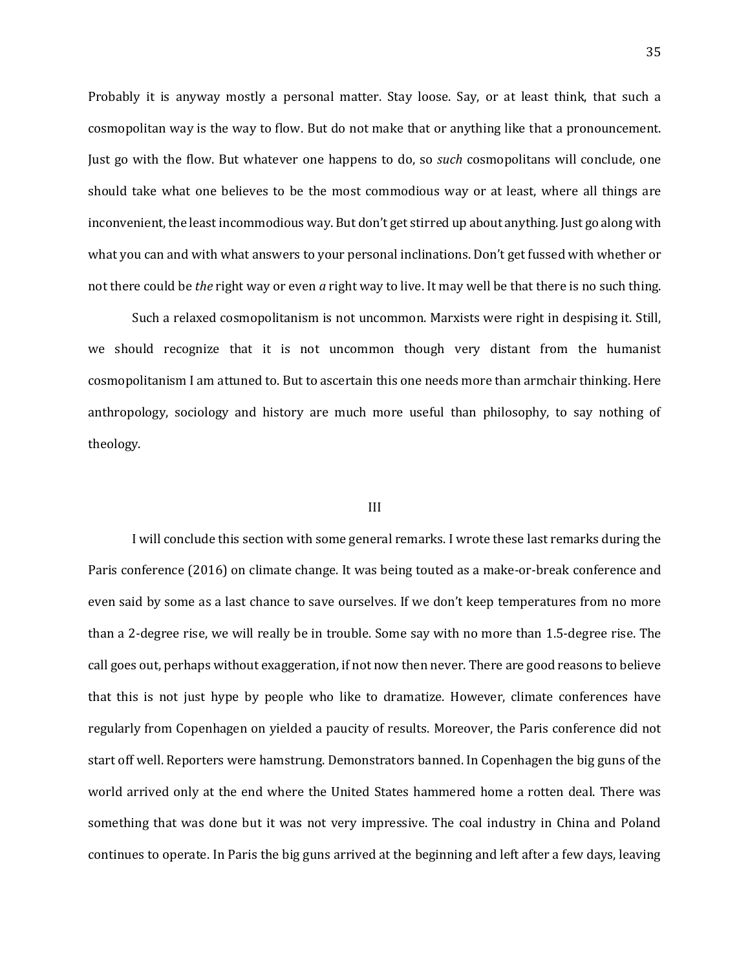Probably it is anyway mostly a personal matter. Stay loose. Say, or at least think, that such a cosmopolitan way is the way to flow. But do not make that or anything like that a pronouncement. Just go with the flow. But whatever one happens to do, so *such* cosmopolitans will conclude, one should take what one believes to be the most commodious way or at least, where all things are inconvenient, the least incommodious way. But don't get stirred up about anything. Just go along with what you can and with what answers to your personal inclinations. Don't get fussed with whether or not there could be *the* right way or even *a* right way to live. It may well be that there is no such thing.

Such a relaxed cosmopolitanism is not uncommon. Marxists were right in despising it. Still, we should recognize that it is not uncommon though very distant from the humanist cosmopolitanism I am attuned to. But to ascertain this one needs more than armchair thinking. Here anthropology, sociology and history are much more useful than philosophy, to say nothing of theology.

### III

I will conclude this section with some general remarks. I wrote these last remarks during the Paris conference (2016) on climate change. It was being touted as a make-or-break conference and even said by some as a last chance to save ourselves. If we don't keep temperatures from no more than a 2-degree rise, we will really be in trouble. Some say with no more than 1.5-degree rise. The call goes out, perhaps without exaggeration, if not now then never. There are good reasons to believe that this is not just hype by people who like to dramatize. However, climate conferences have regularly from Copenhagen on yielded a paucity of results. Moreover, the Paris conference did not start off well. Reporters were hamstrung. Demonstrators banned. In Copenhagen the big guns of the world arrived only at the end where the United States hammered home a rotten deal. There was something that was done but it was not very impressive. The coal industry in China and Poland continues to operate. In Paris the big guns arrived at the beginning and left after a few days, leaving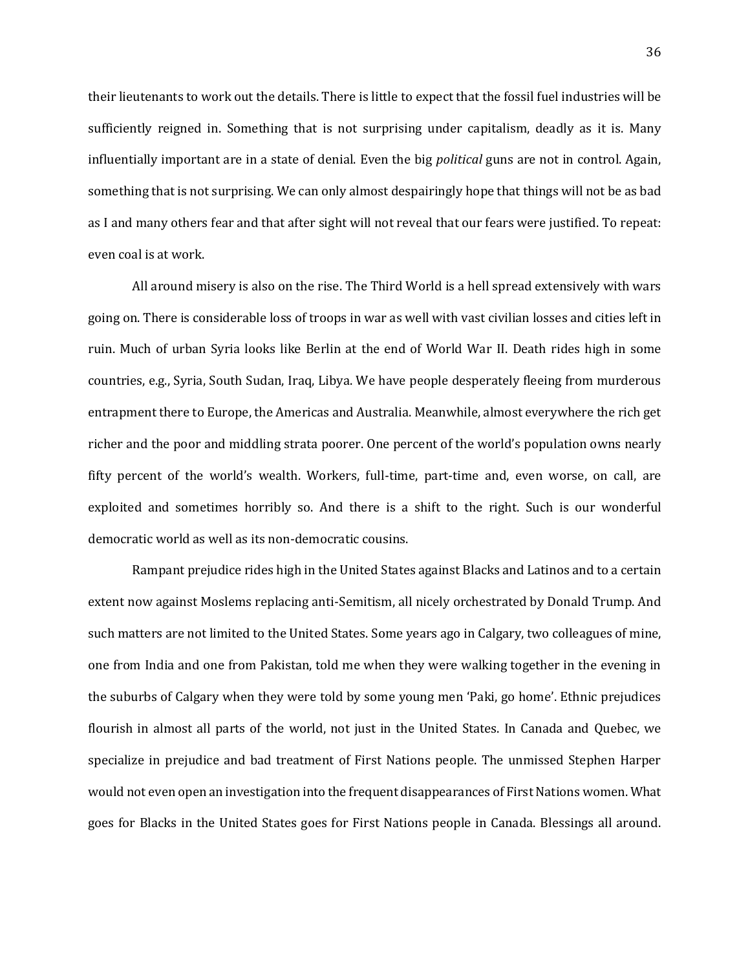their lieutenants to work out the details. There is little to expect that the fossil fuel industries will be sufficiently reigned in. Something that is not surprising under capitalism, deadly as it is. Many influentially important are in a state of denial. Even the big *political* guns are not in control. Again, something that is not surprising. We can only almost despairingly hope that things will not be as bad as I and many others fear and that after sight will not reveal that our fears were justified. To repeat: even coal is at work.

All around misery is also on the rise. The Third World is a hell spread extensively with wars going on. There is considerable loss of troops in war as well with vast civilian losses and cities left in ruin. Much of urban Syria looks like Berlin at the end of World War II. Death rides high in some countries, e.g., Syria, South Sudan, Iraq, Libya. We have people desperately fleeing from murderous entrapment there to Europe, the Americas and Australia. Meanwhile, almost everywhere the rich get richer and the poor and middling strata poorer. One percent of the world's population owns nearly fifty percent of the world's wealth. Workers, full-time, part-time and, even worse, on call, are exploited and sometimes horribly so. And there is a shift to the right. Such is our wonderful democratic world as well as its non-democratic cousins.

Rampant prejudice rides high in the United States against Blacks and Latinos and to a certain extent now against Moslems replacing anti-Semitism, all nicely orchestrated by Donald Trump. And such matters are not limited to the United States. Some years ago in Calgary, two colleagues of mine, one from India and one from Pakistan, told me when they were walking together in the evening in the suburbs of Calgary when they were told by some young men 'Paki, go home'. Ethnic prejudices flourish in almost all parts of the world, not just in the United States. In Canada and Quebec, we specialize in prejudice and bad treatment of First Nations people. The unmissed Stephen Harper would not even open an investigation into the frequent disappearances of First Nations women. What goes for Blacks in the United States goes for First Nations people in Canada. Blessings all around.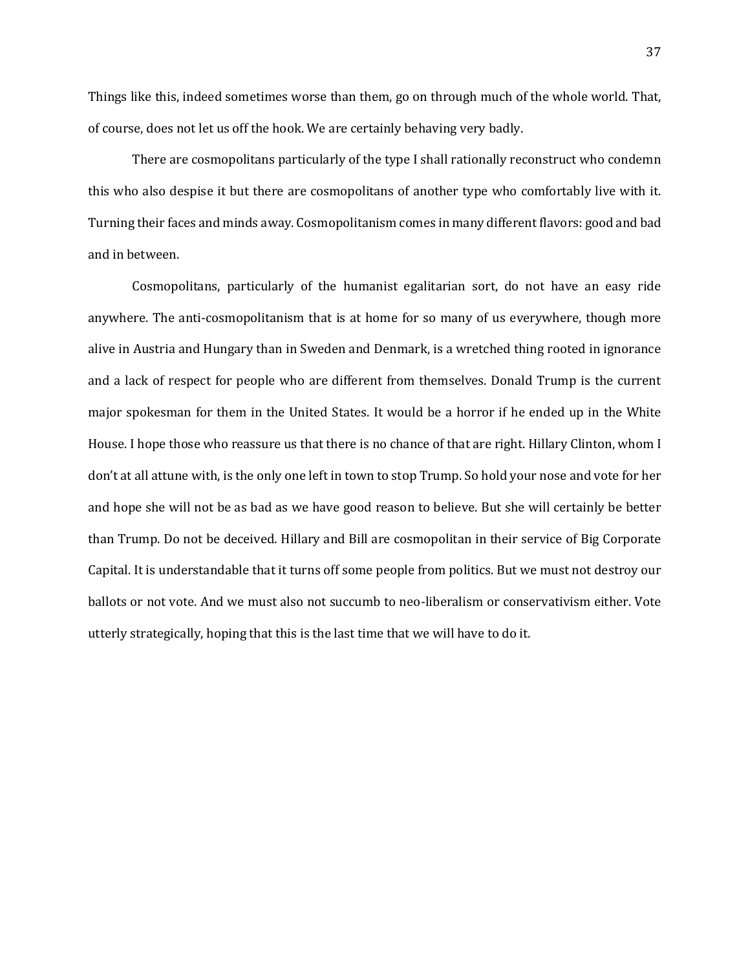Things like this, indeed sometimes worse than them, go on through much of the whole world. That, of course, does not let us off the hook. We are certainly behaving very badly.

There are cosmopolitans particularly of the type I shall rationally reconstruct who condemn this who also despise it but there are cosmopolitans of another type who comfortably live with it. Turning their faces and minds away. Cosmopolitanism comes in many different flavors: good and bad and in between.

Cosmopolitans, particularly of the humanist egalitarian sort, do not have an easy ride anywhere. The anti-cosmopolitanism that is at home for so many of us everywhere, though more alive in Austria and Hungary than in Sweden and Denmark, is a wretched thing rooted in ignorance and a lack of respect for people who are different from themselves. Donald Trump is the current major spokesman for them in the United States. It would be a horror if he ended up in the White House. I hope those who reassure us that there is no chance of that are right. Hillary Clinton, whom I don't at all attune with, is the only one left in town to stop Trump. So hold your nose and vote for her and hope she will not be as bad as we have good reason to believe. But she will certainly be better than Trump. Do not be deceived. Hillary and Bill are cosmopolitan in their service of Big Corporate Capital. It is understandable that it turns off some people from politics. But we must not destroy our ballots or not vote. And we must also not succumb to neo-liberalism or conservativism either. Vote utterly strategically, hoping that this is the last time that we will have to do it.